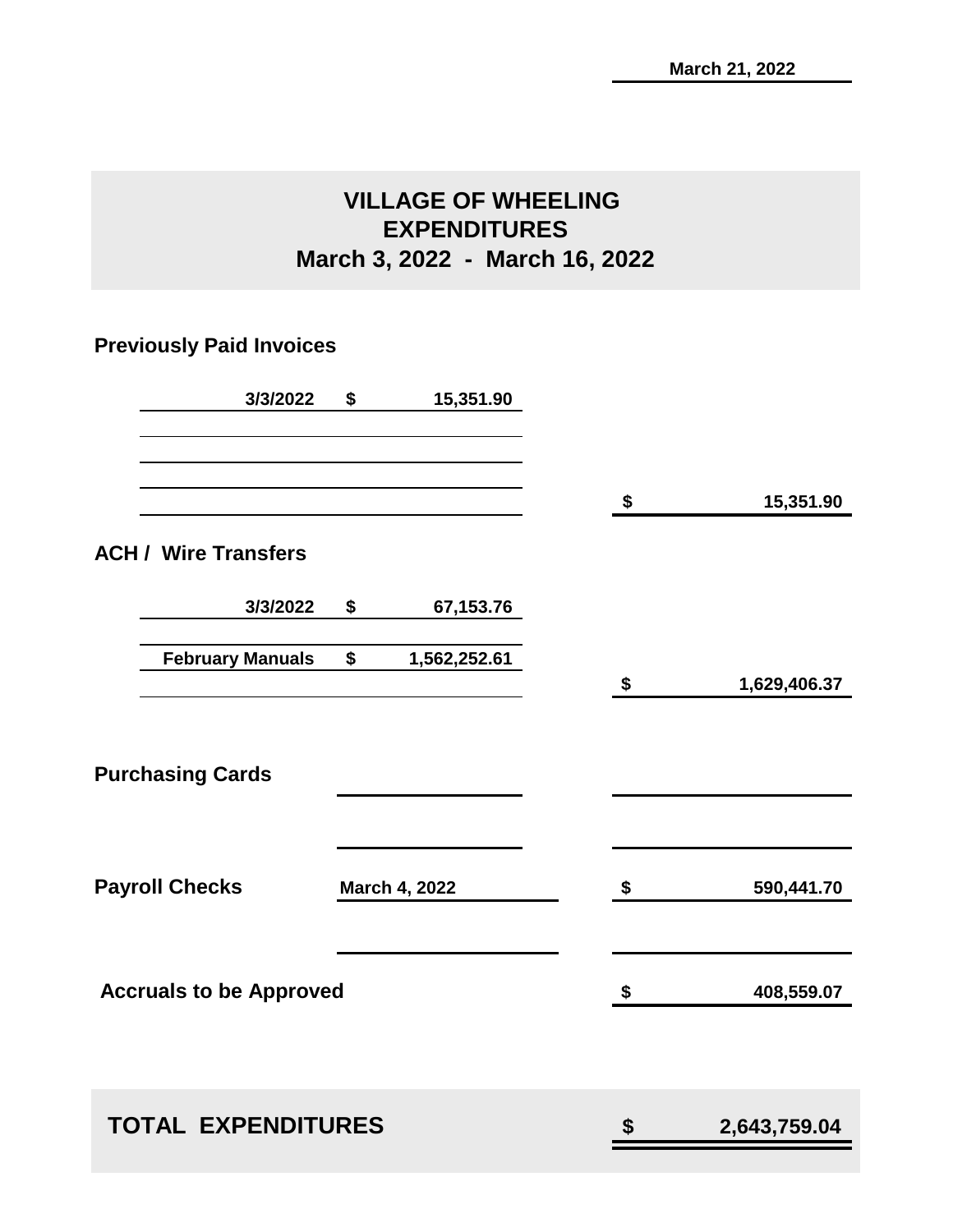# **VILLAGE OF WHEELING EXPENDITURES March 3, 2022 - March 16, 2022**

# **Previously Paid Invoices**

| 3/3/2022                       | \$<br>15,351.90    |                    |
|--------------------------------|--------------------|--------------------|
|                                |                    | \$<br>15,351.90    |
| <b>ACH / Wire Transfers</b>    |                    |                    |
| 3/3/2022                       | \$<br>67,153.76    |                    |
| <b>February Manuals</b>        | \$<br>1,562,252.61 | \$<br>1,629,406.37 |
| <b>Purchasing Cards</b>        |                    |                    |
| <b>Payroll Checks</b>          | March 4, 2022      | \$<br>590,441.70   |
| <b>Accruals to be Approved</b> |                    | \$<br>408,559.07   |
| <b>TOTAL EXPENDITURES</b>      |                    | \$<br>2,643,759.04 |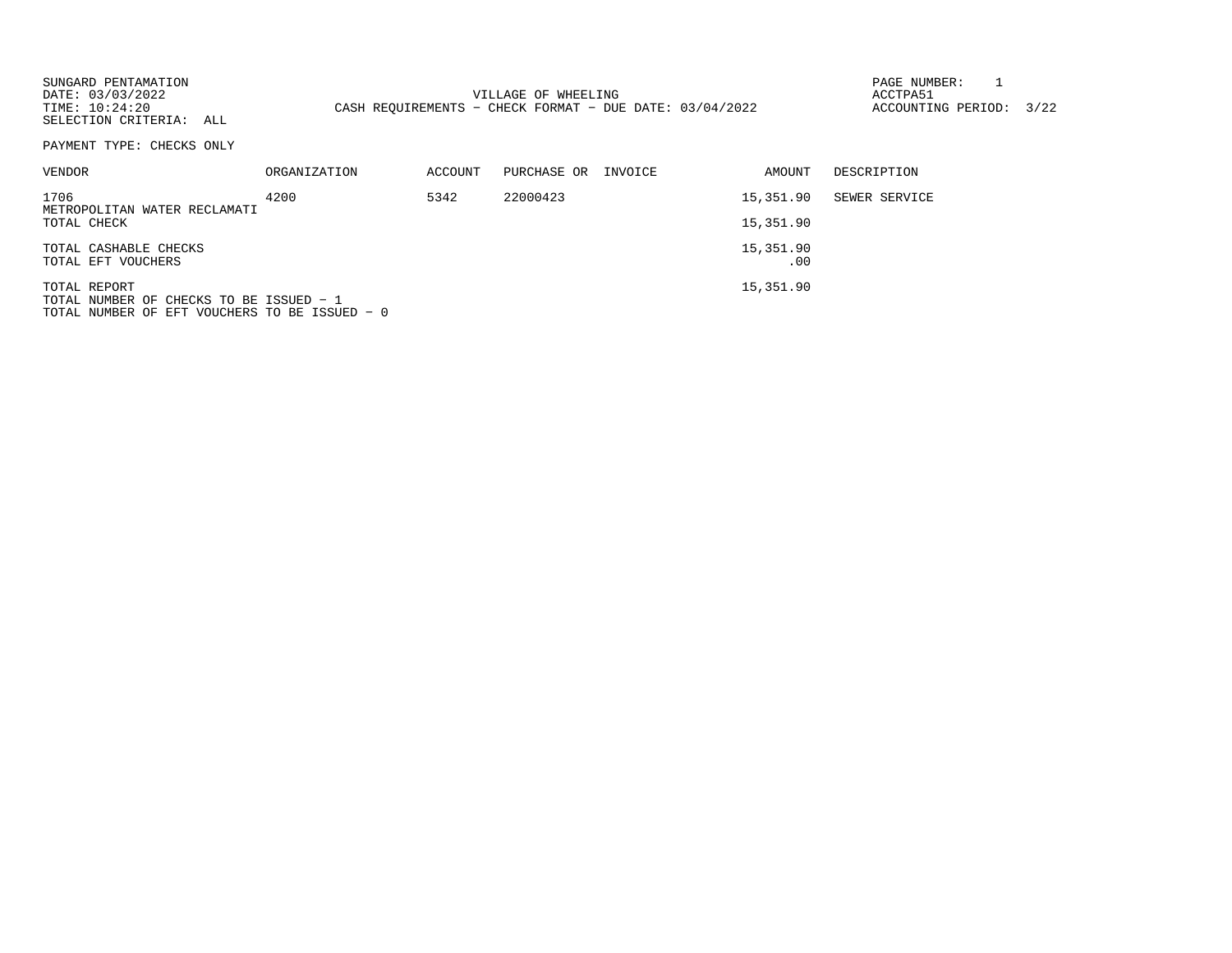| SUNGARD PENTAMATION<br>DATE: 03/03/2022<br>TIME: 10:24:20<br>SELECTION CRITERIA: ALL<br>PAYMENT TYPE: CHECKS ONLY |              |         | VILLAGE OF WHEELING<br>CASH REOUIREMENTS - CHECK FORMAT - DUE DATE: $03/04/2022$ |         |           | PAGE NUMBER:<br>ACCTPA51<br>ACCOUNTING PERIOD: | 3/22 |
|-------------------------------------------------------------------------------------------------------------------|--------------|---------|----------------------------------------------------------------------------------|---------|-----------|------------------------------------------------|------|
|                                                                                                                   |              |         |                                                                                  |         |           |                                                |      |
| VENDOR                                                                                                            | ORGANIZATION | ACCOUNT | PURCHASE OR                                                                      | INVOICE | AMOUNT    | DESCRIPTION                                    |      |
| 1706<br>METROPOLITAN WATER RECLAMATI                                                                              | 4200         | 5342    | 22000423                                                                         |         | 15,351.90 | SEWER SERVICE                                  |      |
| TOTAL CHECK                                                                                                       |              |         |                                                                                  |         | 15,351.90 |                                                |      |
| TOTAL CASHABLE CHECKS                                                                                             |              |         |                                                                                  |         | 15,351.90 |                                                |      |
| TOTAL EFT VOUCHERS                                                                                                |              |         |                                                                                  |         | .00       |                                                |      |
| TOTAL REPORT<br>TOTAL NUMBER OF CHECKS TO BE ISSUED - 1<br>TOTAL NUMBER OF EFT VOUCHERS TO BE ISSUED - 0          |              |         |                                                                                  |         | 15,351.90 |                                                |      |
|                                                                                                                   |              |         |                                                                                  |         |           |                                                |      |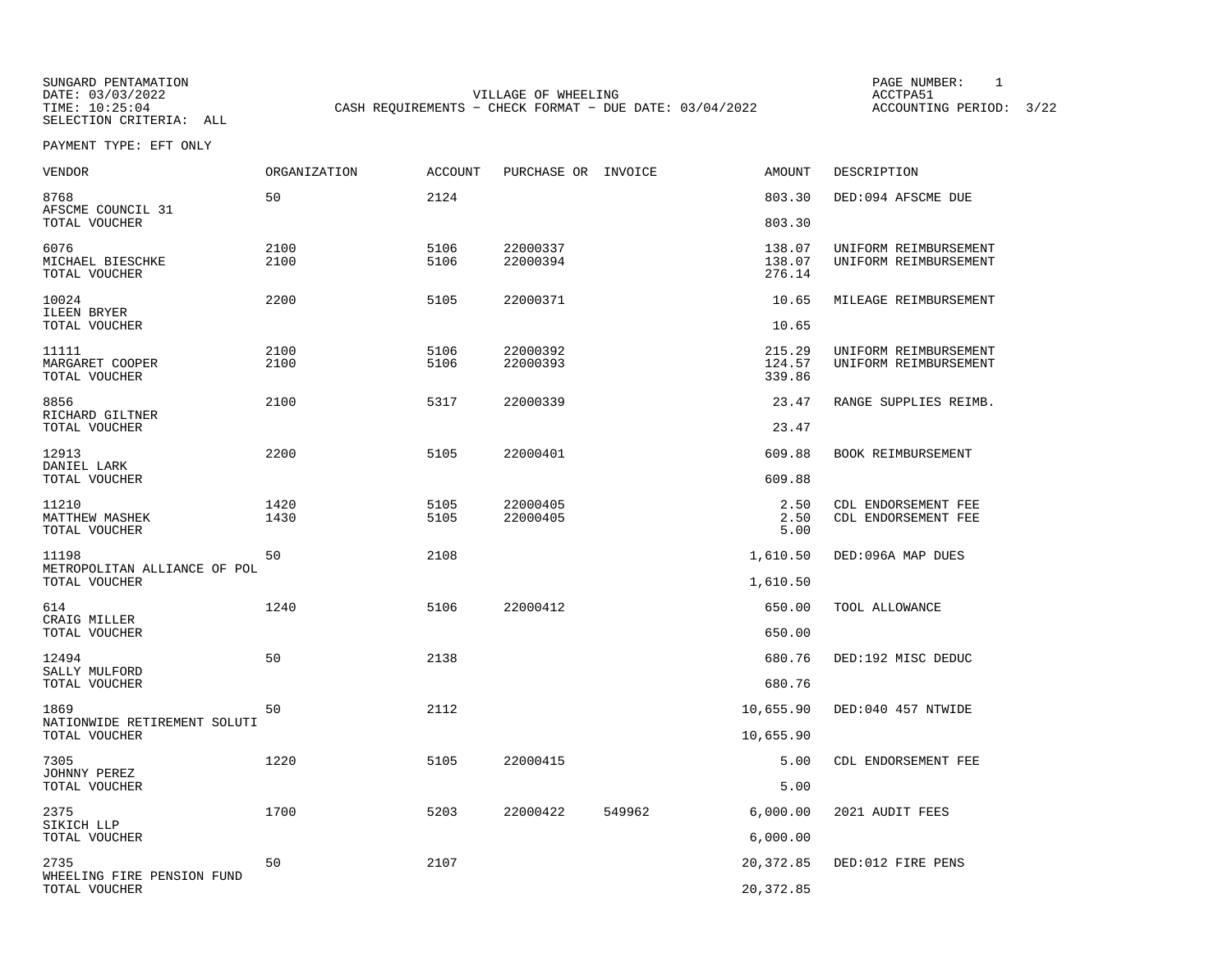SUNGARD PENTAMATION<br>
SUNGARD PENTAMATION<br>
DATE: 03/03/2022<br>
ACCTPA51 DATE: 03/03/2022 VILLAGE OF WHEELING ACCTPA51CASH REQUIREMENTS - CHECK FORMAT - DUE DATE: 03/04/2022

ACCOUNTING PERIOD: 3/22

PAYMENT TYPE: EFT ONLY

| VENDOR                                          | <b>ORGANIZATION</b> | <b>ACCOUNT</b> | PURCHASE OR INVOICE  |        | <b>AMOUNT</b>              | DESCRIPTION                                    |
|-------------------------------------------------|---------------------|----------------|----------------------|--------|----------------------------|------------------------------------------------|
| 8768<br>AFSCME COUNCIL 31                       | 50                  | 2124           |                      |        | 803.30                     | DED:094 AFSCME DUE                             |
| TOTAL VOUCHER                                   |                     |                |                      |        | 803.30                     |                                                |
| 6076<br>MICHAEL BIESCHKE<br>TOTAL VOUCHER       | 2100<br>2100        | 5106<br>5106   | 22000337<br>22000394 |        | 138.07<br>138.07<br>276.14 | UNIFORM REIMBURSEMENT<br>UNIFORM REIMBURSEMENT |
| 10024<br>ILEEN BRYER<br>TOTAL VOUCHER           | 2200                | 5105           | 22000371             |        | 10.65<br>10.65             | MILEAGE REIMBURSEMENT                          |
| 11111<br>MARGARET COOPER<br>TOTAL VOUCHER       | 2100<br>2100        | 5106<br>5106   | 22000392<br>22000393 |        | 215.29<br>124.57<br>339.86 | UNIFORM REIMBURSEMENT<br>UNIFORM REIMBURSEMENT |
| 8856<br>RICHARD GILTNER                         | 2100                | 5317           | 22000339             |        | 23.47                      | RANGE SUPPLIES REIMB.                          |
| TOTAL VOUCHER                                   |                     |                |                      |        | 23.47                      |                                                |
| 12913                                           | 2200                | 5105           | 22000401             |        | 609.88                     | BOOK REIMBURSEMENT                             |
| DANIEL LARK<br>TOTAL VOUCHER                    |                     |                |                      |        | 609.88                     |                                                |
| 11210<br><b>MATTHEW MASHEK</b><br>TOTAL VOUCHER | 1420<br>1430        | 5105<br>5105   | 22000405<br>22000405 |        | 2.50<br>2.50<br>5.00       | CDL ENDORSEMENT FEE<br>CDL ENDORSEMENT FEE     |
| 11198                                           | 50                  | 2108           |                      |        | 1,610.50                   | DED:096A MAP DUES                              |
| METROPOLITAN ALLIANCE OF POL<br>TOTAL VOUCHER   |                     |                |                      |        | 1,610.50                   |                                                |
| 614                                             | 1240                | 5106           | 22000412             |        | 650.00                     | TOOL ALLOWANCE                                 |
| CRAIG MILLER<br>TOTAL VOUCHER                   |                     |                |                      |        | 650.00                     |                                                |
| 12494                                           | 50                  | 2138           |                      |        | 680.76                     | DED:192 MISC DEDUC                             |
| SALLY MULFORD<br>TOTAL VOUCHER                  |                     |                |                      |        | 680.76                     |                                                |
| 1869                                            | 50                  | 2112           |                      |        | 10,655.90                  | DED:040 457 NTWIDE                             |
| NATIONWIDE RETIREMENT SOLUTI<br>TOTAL VOUCHER   |                     |                |                      |        | 10,655.90                  |                                                |
| 7305                                            | 1220                | 5105           | 22000415             |        | 5.00                       | CDL ENDORSEMENT FEE                            |
| JOHNNY PEREZ<br>TOTAL VOUCHER                   |                     |                |                      |        | 5.00                       |                                                |
| 2375<br>SIKICH LLP                              | 1700                | 5203           | 22000422             | 549962 | 6,000.00                   | 2021 AUDIT FEES                                |
| TOTAL VOUCHER                                   |                     |                |                      |        | 6,000.00                   |                                                |
| 2735                                            | 50                  | 2107           |                      |        | 20,372.85                  | DED:012 FIRE PENS                              |
| WHEELING FIRE PENSION FUND<br>TOTAL VOUCHER     |                     |                |                      |        | 20, 372.85                 |                                                |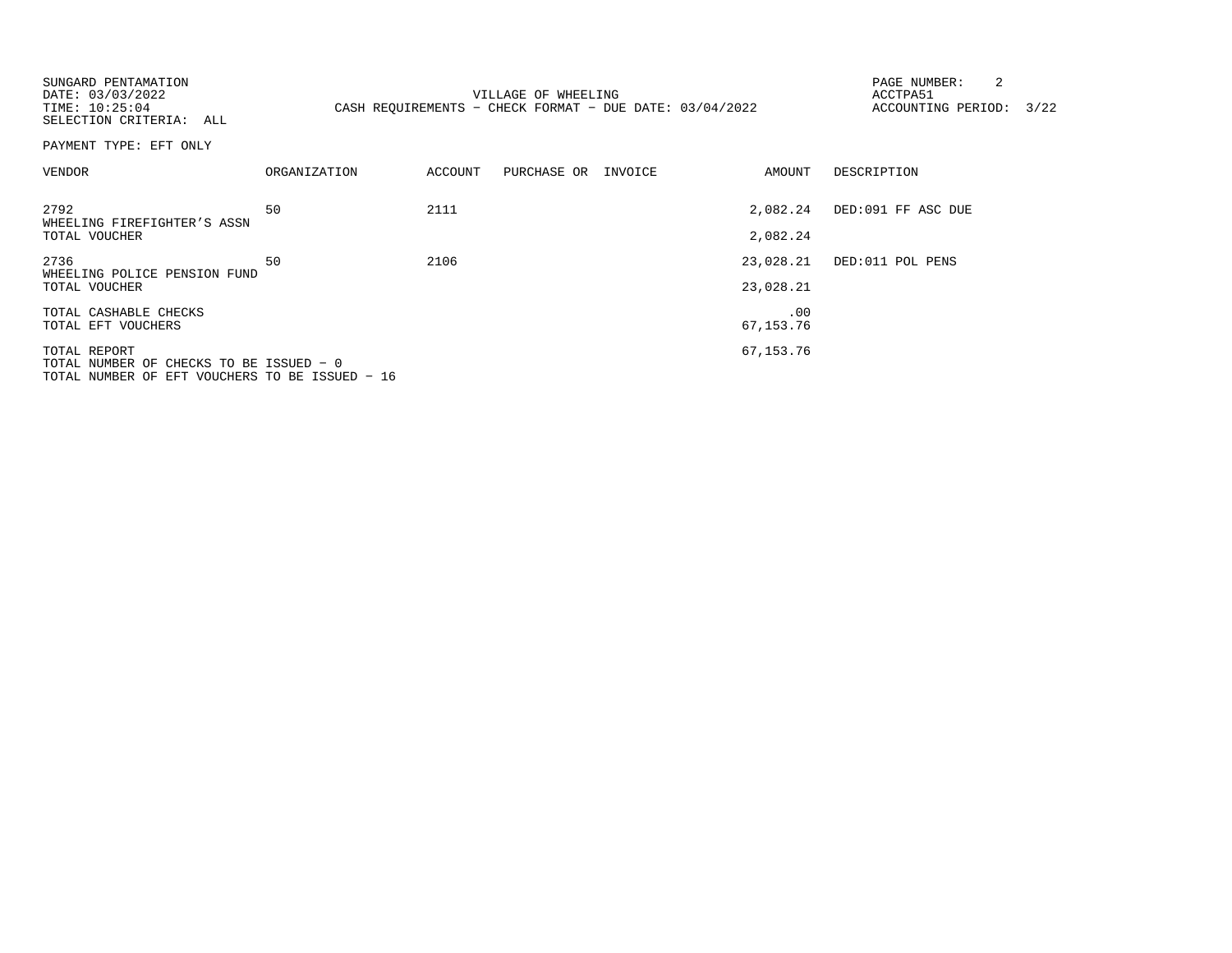| SUNGARD PENTAMATION<br>DATE: 03/03/2022<br>TIME: 10:25:04<br>SELECTION CRITERIA: ALL                      |              |         | VILLAGE OF WHEELING<br>CASH REQUIREMENTS - CHECK FORMAT - DUE DATE: 03/04/2022 |                        | 2<br>PAGE NUMBER:<br>ACCTPA51<br>ACCOUNTING PERIOD: | 3/22 |
|-----------------------------------------------------------------------------------------------------------|--------------|---------|--------------------------------------------------------------------------------|------------------------|-----------------------------------------------------|------|
| PAYMENT TYPE: EFT ONLY                                                                                    |              |         |                                                                                |                        |                                                     |      |
| VENDOR                                                                                                    | ORGANIZATION | ACCOUNT | PURCHASE OR INVOICE                                                            | AMOUNT                 | DESCRIPTION                                         |      |
| 2792<br>WHEELING FIREFIGHTER'S ASSN<br>TOTAL VOUCHER                                                      | 50           | 2111    |                                                                                | 2,082.24<br>2,082.24   | DED:091 FF ASC DUE                                  |      |
| 2736<br>WHEELING POLICE PENSION FUND<br>TOTAL VOUCHER                                                     | 50           | 2106    |                                                                                | 23,028.21<br>23,028.21 | DED:011 POL PENS                                    |      |
| TOTAL CASHABLE CHECKS<br>TOTAL EFT VOUCHERS                                                               |              |         |                                                                                | .00<br>67, 153. 76     |                                                     |      |
| TOTAL REPORT<br>TOTAL NUMBER OF CHECKS TO BE ISSUED - 0<br>TOTAL NUMBER OF EFT VOUCHERS TO BE ISSUED - 16 |              |         |                                                                                | 67,153.76              |                                                     |      |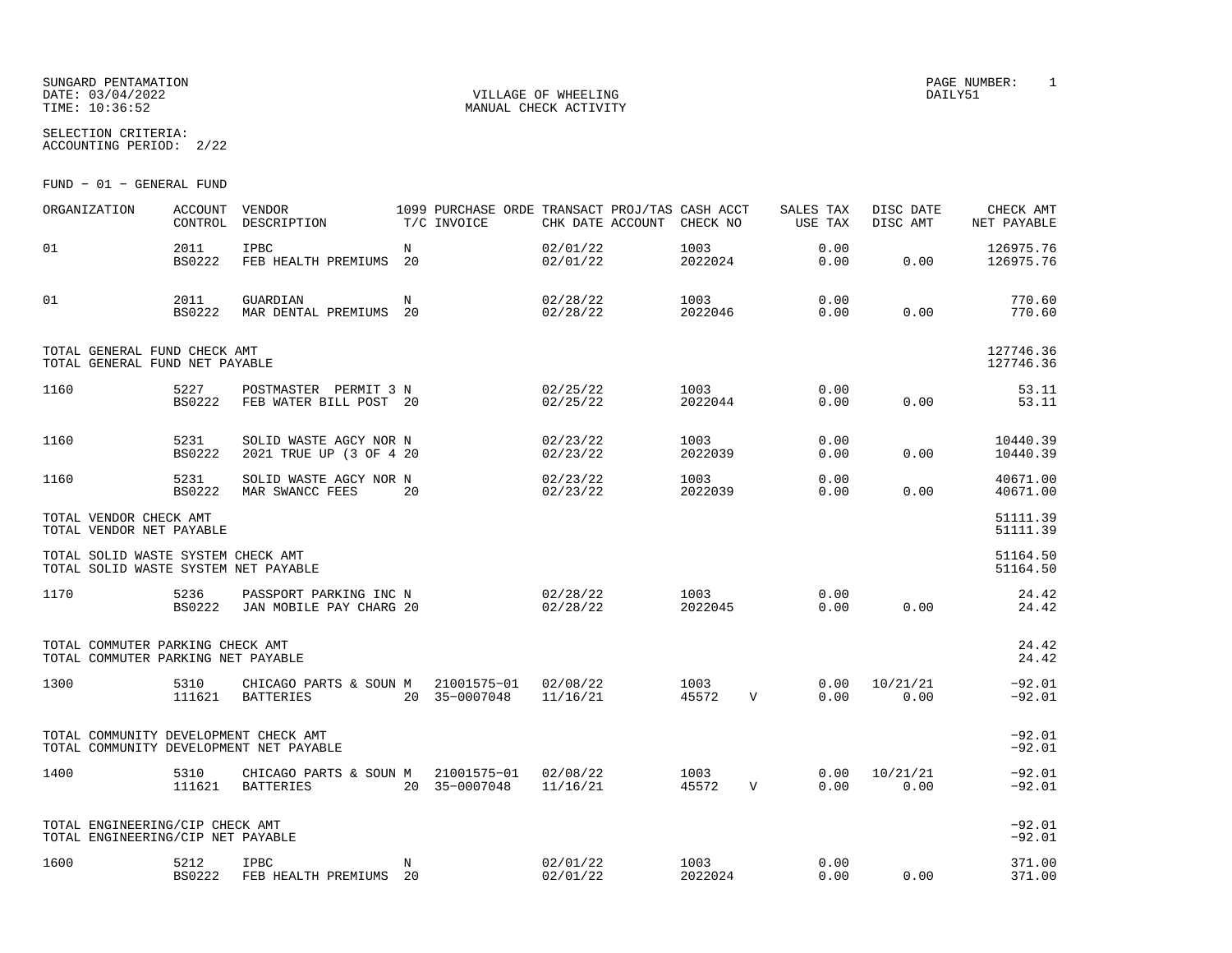#### SUNGARD PENTAMATION PAGE NUMBER: 1 DATE:  $03/04/2022$  DAILY51 TIME: 10:36:52 MANUAL CHECK ACTIVITY

SELECTION CRITERIA:

ACCOUNTING PERIOD: 2/22

FUND − 01 − GENERAL FUND

| ORGANIZATION                                                                     | <b>ACCOUNT</b><br>CONTROL | VENDOR<br>DESCRIPTION                                           |                  | 1099 PURCHASE ORDE TRANSACT PROJ/TAS CASH ACCT<br>T/C INVOICE | CHK DATE ACCOUNT     | CHECK NO        |              | SALES TAX<br>USE TAX | DISC DATE<br>DISC AMT | CHECK AMT<br>NET PAYABLE |
|----------------------------------------------------------------------------------|---------------------------|-----------------------------------------------------------------|------------------|---------------------------------------------------------------|----------------------|-----------------|--------------|----------------------|-----------------------|--------------------------|
| 01                                                                               | 2011<br><b>BS0222</b>     | <b>IPBC</b><br>FEB HEALTH PREMIUMS                              | $_{\rm N}$<br>20 |                                                               | 02/01/22<br>02/01/22 | 1003<br>2022024 |              | 0.00<br>0.00         | 0.00                  | 126975.76<br>126975.76   |
| 01                                                                               | 2011<br><b>BS0222</b>     | GUARDIAN<br>MAR DENTAL PREMIUMS                                 | N<br>20          |                                                               | 02/28/22<br>02/28/22 | 1003<br>2022046 |              | 0.00<br>0.00         | 0.00                  | 770.60<br>770.60         |
| TOTAL GENERAL FUND CHECK AMT<br>TOTAL GENERAL FUND NET PAYABLE                   |                           |                                                                 |                  |                                                               |                      |                 |              |                      |                       | 127746.36<br>127746.36   |
| 1160                                                                             | 5227<br><b>BS0222</b>     | POSTMASTER PERMIT 3 N<br>FEB WATER BILL POST 20                 |                  |                                                               | 02/25/22<br>02/25/22 | 1003<br>2022044 |              | 0.00<br>0.00         | 0.00                  | 53.11<br>53.11           |
| 1160                                                                             | 5231<br><b>BS0222</b>     | SOLID WASTE AGCY NOR N<br>2021 TRUE UP (3 OF 4 20               |                  |                                                               | 02/23/22<br>02/23/22 | 1003<br>2022039 |              | 0.00<br>0.00         | 0.00                  | 10440.39<br>10440.39     |
| 1160                                                                             | 5231<br><b>BS0222</b>     | SOLID WASTE AGCY NOR N<br>MAR SWANCC FEES                       | 20               |                                                               | 02/23/22<br>02/23/22 | 1003<br>2022039 |              | 0.00<br>0.00         | 0.00                  | 40671.00<br>40671.00     |
| TOTAL VENDOR CHECK AMT<br>TOTAL VENDOR NET PAYABLE                               |                           |                                                                 |                  |                                                               |                      |                 |              |                      |                       | 51111.39<br>51111.39     |
| TOTAL SOLID WASTE SYSTEM CHECK AMT<br>TOTAL SOLID WASTE SYSTEM NET PAYABLE       |                           |                                                                 |                  |                                                               |                      |                 |              |                      |                       | 51164.50<br>51164.50     |
| 1170                                                                             | 5236<br><b>BS0222</b>     | PASSPORT PARKING INC N<br>JAN MOBILE PAY CHARG 20               |                  |                                                               | 02/28/22<br>02/28/22 | 1003<br>2022045 |              | 0.00<br>0.00         | 0.00                  | 24.42<br>24.42           |
| TOTAL COMMUTER PARKING CHECK AMT<br>TOTAL COMMUTER PARKING NET PAYABLE           |                           |                                                                 |                  |                                                               |                      |                 |              |                      |                       | 24.42<br>24.42           |
| 1300                                                                             | 5310<br>111621            | CHICAGO PARTS & SOUN M<br><b>BATTERIES</b>                      |                  | 21001575-01 02/08/22<br>20 35-0007048                         | 11/16/21             | 1003<br>45572   | $\mathbf{V}$ | 0.00<br>0.00         | 10/21/21<br>0.00      | $-92.01$<br>$-92.01$     |
| TOTAL COMMUNITY DEVELOPMENT CHECK AMT<br>TOTAL COMMUNITY DEVELOPMENT NET PAYABLE |                           |                                                                 |                  |                                                               |                      |                 |              |                      |                       | $-92.01$<br>$-92.01$     |
| 1400                                                                             | 5310<br>111621            | CHICAGO PARTS & SOUN M 21001575-01 02/08/22<br><b>BATTERIES</b> |                  | 20 35-0007048                                                 | 11/16/21             | 1003<br>45572   | $\mathbf{V}$ | 0.00<br>0.00         | 10/21/21<br>0.00      | $-92.01$<br>$-92.01$     |
| TOTAL ENGINEERING/CIP CHECK AMT<br>TOTAL ENGINEERING/CIP NET PAYABLE             |                           |                                                                 |                  |                                                               |                      |                 |              |                      |                       | $-92.01$<br>$-92.01$     |
| 1600                                                                             | 5212<br>BS0222            | <b>IPBC</b><br>FEB HEALTH PREMIUMS 20                           | N                |                                                               | 02/01/22<br>02/01/22 | 1003<br>2022024 |              | 0.00<br>0.00         | 0.00                  | 371.00<br>371.00         |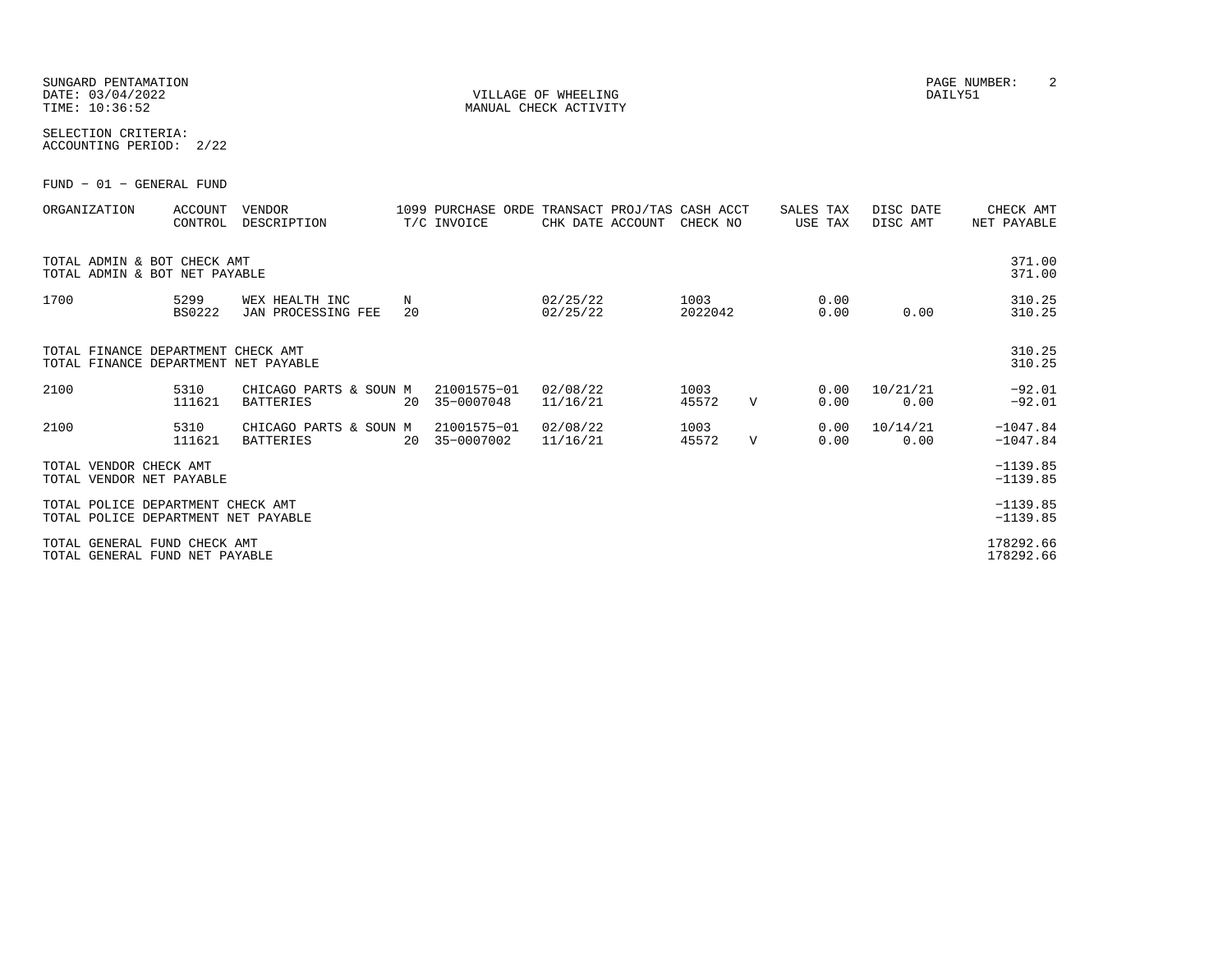SUNGARD PENTAMATION PAGE NUMBER: 2DATE: 03/04/2022 VILLAGE OF WHEELING DAILY51

SELECTION CRITERIA:ACCOUNTING PERIOD: 2/22

FUND − 01 − GENERAL FUND

| ORGANIZATION                                                               | <b>ACCOUNT</b><br>CONTROL | <b>VENDOR</b><br>DESCRIPTION               |         | 1099 PURCHASE ORDE TRANSACT PROJ/TAS CASH ACCT<br>T/C INVOICE | CHK DATE ACCOUNT     | CHECK NO        |              | SALES TAX<br>USE TAX | DISC DATE<br>DISC AMT | CHECK AMT<br>NET PAYABLE |
|----------------------------------------------------------------------------|---------------------------|--------------------------------------------|---------|---------------------------------------------------------------|----------------------|-----------------|--------------|----------------------|-----------------------|--------------------------|
| TOTAL ADMIN & BOT CHECK AMT<br>TOTAL ADMIN & BOT NET PAYABLE               |                           |                                            |         |                                                               |                      |                 |              |                      |                       | 371.00<br>371.00         |
| 1700                                                                       | 5299<br><b>BS0222</b>     | WEX HEALTH INC<br>JAN PROCESSING FEE       | N<br>20 |                                                               | 02/25/22<br>02/25/22 | 1003<br>2022042 |              | 0.00<br>0.00         | 0.00                  | 310.25<br>310.25         |
| TOTAL FINANCE DEPARTMENT CHECK AMT<br>TOTAL FINANCE DEPARTMENT NET PAYABLE |                           |                                            |         |                                                               |                      |                 |              |                      |                       | 310.25<br>310.25         |
| 2100                                                                       | 5310<br>111621            | CHICAGO PARTS & SOUN M<br><b>BATTERIES</b> | 20      | 21001575-01<br>35-0007048                                     | 02/08/22<br>11/16/21 | 1003<br>45572   | $\mathbf{V}$ | 0.00<br>0.00         | 10/21/21<br>0.00      | $-92.01$<br>$-92.01$     |
| 2100                                                                       | 5310<br>111621            | CHICAGO PARTS & SOUN M<br>BATTERIES        | 20      | 21001575-01<br>35-0007002                                     | 02/08/22<br>11/16/21 | 1003<br>45572   | $\mathbf{V}$ | 0.00<br>0.00         | 10/14/21<br>0.00      | $-1047.84$<br>$-1047.84$ |
| TOTAL VENDOR CHECK AMT<br>TOTAL VENDOR NET PAYABLE                         |                           |                                            |         |                                                               |                      |                 |              |                      |                       | $-1139.85$<br>$-1139.85$ |
| TOTAL POLICE DEPARTMENT CHECK AMT<br>TOTAL POLICE DEPARTMENT NET PAYABLE   |                           |                                            |         |                                                               |                      |                 |              |                      |                       | $-1139.85$<br>$-1139.85$ |
| TOTAL GENERAL FUND CHECK AMT<br>TOTAL GENERAL FUND NET PAYABLE             |                           |                                            |         |                                                               |                      |                 |              |                      |                       | 178292.66<br>178292.66   |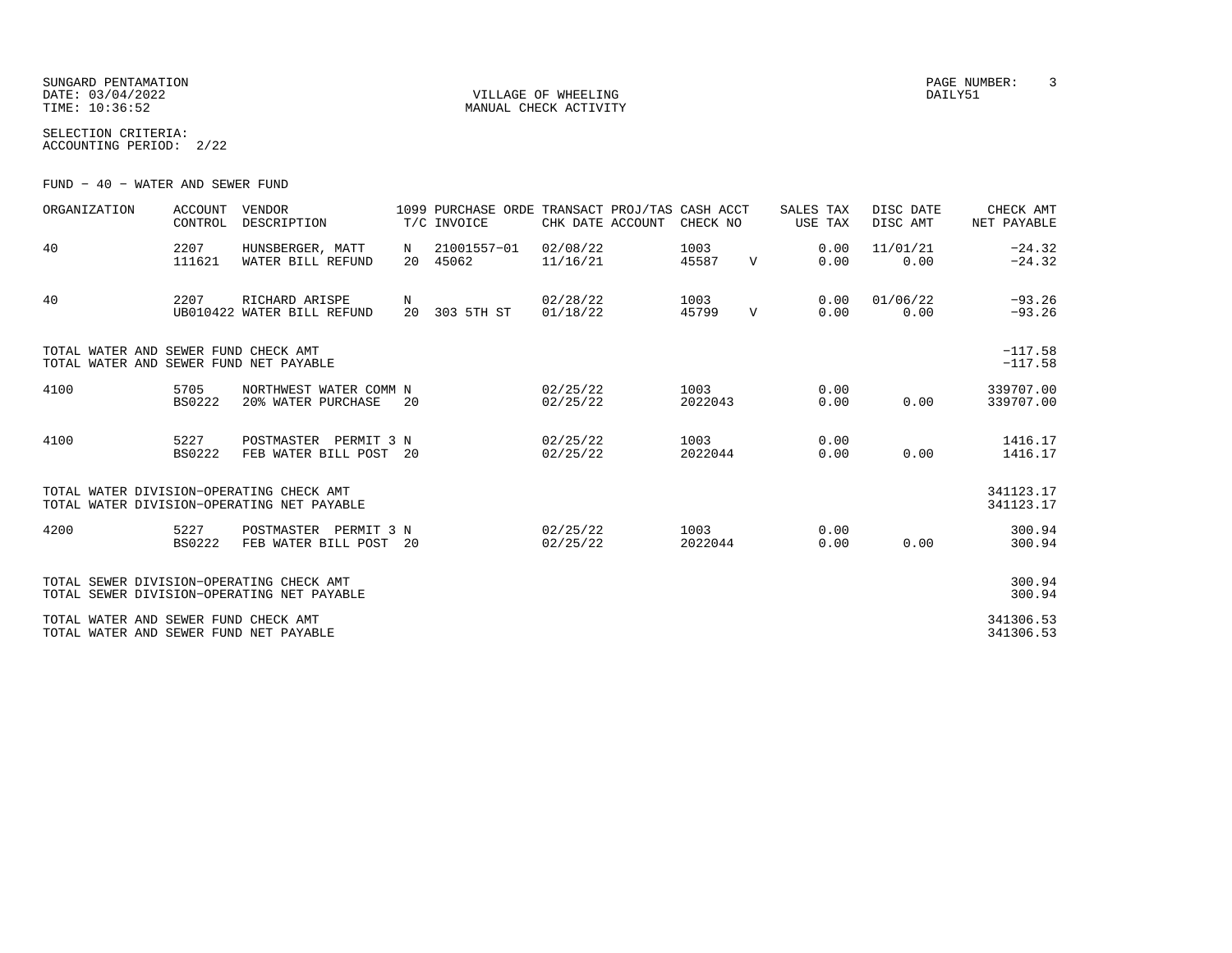SUNGARD PENTAMATION PAGE NUMBER: 3DATE:  $03/04/2022$  DAILY51 TIME:  $10:36:52$  MANUAL CHECK ACTIVITY

SELECTION CRITERIA:ACCOUNTING PERIOD: 2/22

FUND − 40 − WATER AND SEWER FUND

| ORGANIZATION                                                                   | <b>ACCOUNT</b><br>CONTROL | <b>VENDOR</b><br>DESCRIPTION                       |         | 1099 PURCHASE ORDE TRANSACT PROJ/TAS CASH ACCT<br>T/C INVOICE | CHK DATE ACCOUNT     | CHECK NO        |              | SALES TAX<br>USE TAX | DISC DATE<br>DISC AMT | CHECK AMT<br>NET PAYABLE |
|--------------------------------------------------------------------------------|---------------------------|----------------------------------------------------|---------|---------------------------------------------------------------|----------------------|-----------------|--------------|----------------------|-----------------------|--------------------------|
| 40                                                                             | 2207<br>111621            | HUNSBERGER, MATT<br>WATER BILL REFUND              | N<br>20 | 21001557-01<br>45062                                          | 02/08/22<br>11/16/21 | 1003<br>45587   | $\mathbf{V}$ | 0.00<br>0.00         | 11/01/21<br>0.00      | $-24.32$<br>$-24.32$     |
| 40                                                                             | 2207                      | RICHARD ARISPE<br>UB010422 WATER BILL REFUND       | N<br>20 | 303 5TH ST                                                    | 02/28/22<br>01/18/22 | 1003<br>45799   | $\mathbf V$  | 0.00<br>0.00         | 01/06/22<br>0.00      | $-93.26$<br>$-93.26$     |
| TOTAL WATER AND SEWER FUND CHECK AMT<br>TOTAL WATER AND SEWER FUND NET PAYABLE |                           |                                                    |         |                                                               |                      |                 |              |                      |                       | $-117.58$<br>$-117.58$   |
| 4100                                                                           | 5705<br><b>BS0222</b>     | NORTHWEST WATER COMM N<br>20% WATER PURCHASE       | 20      |                                                               | 02/25/22<br>02/25/22 | 1003<br>2022043 |              | 0.00<br>0.00         | 0.00                  | 339707.00<br>339707.00   |
| 4100                                                                           | 5227<br><b>BS0222</b>     | POSTMASTER<br>PERMIT 3 N<br>FEB WATER BILL POST 20 |         |                                                               | 02/25/22<br>02/25/22 | 1003<br>2022044 |              | 0.00<br>0.00         | 0.00                  | 1416.17<br>1416.17       |
| TOTAL WATER DIVISION-OPERATING CHECK AMT                                       |                           | TOTAL WATER DIVISION-OPERATING NET PAYABLE         |         |                                                               |                      |                 |              |                      |                       | 341123.17<br>341123.17   |
| 4200                                                                           | 5227<br><b>BS0222</b>     | POSTMASTER<br>PERMIT 3 N<br>FEB WATER BILL POST 20 |         |                                                               | 02/25/22<br>02/25/22 | 1003<br>2022044 |              | 0.00<br>0.00         | 0.00                  | 300.94<br>300.94         |
| TOTAL SEWER DIVISION-OPERATING CHECK AMT                                       |                           | TOTAL SEWER DIVISION-OPERATING NET PAYABLE         |         |                                                               |                      |                 |              |                      |                       | 300.94<br>300.94         |
| TOTAL WATER AND SEWER FUND CHECK AMT<br>TOTAL WATER AND SEWER FUND NET PAYABLE |                           |                                                    |         |                                                               |                      |                 |              |                      |                       | 341306.53<br>341306.53   |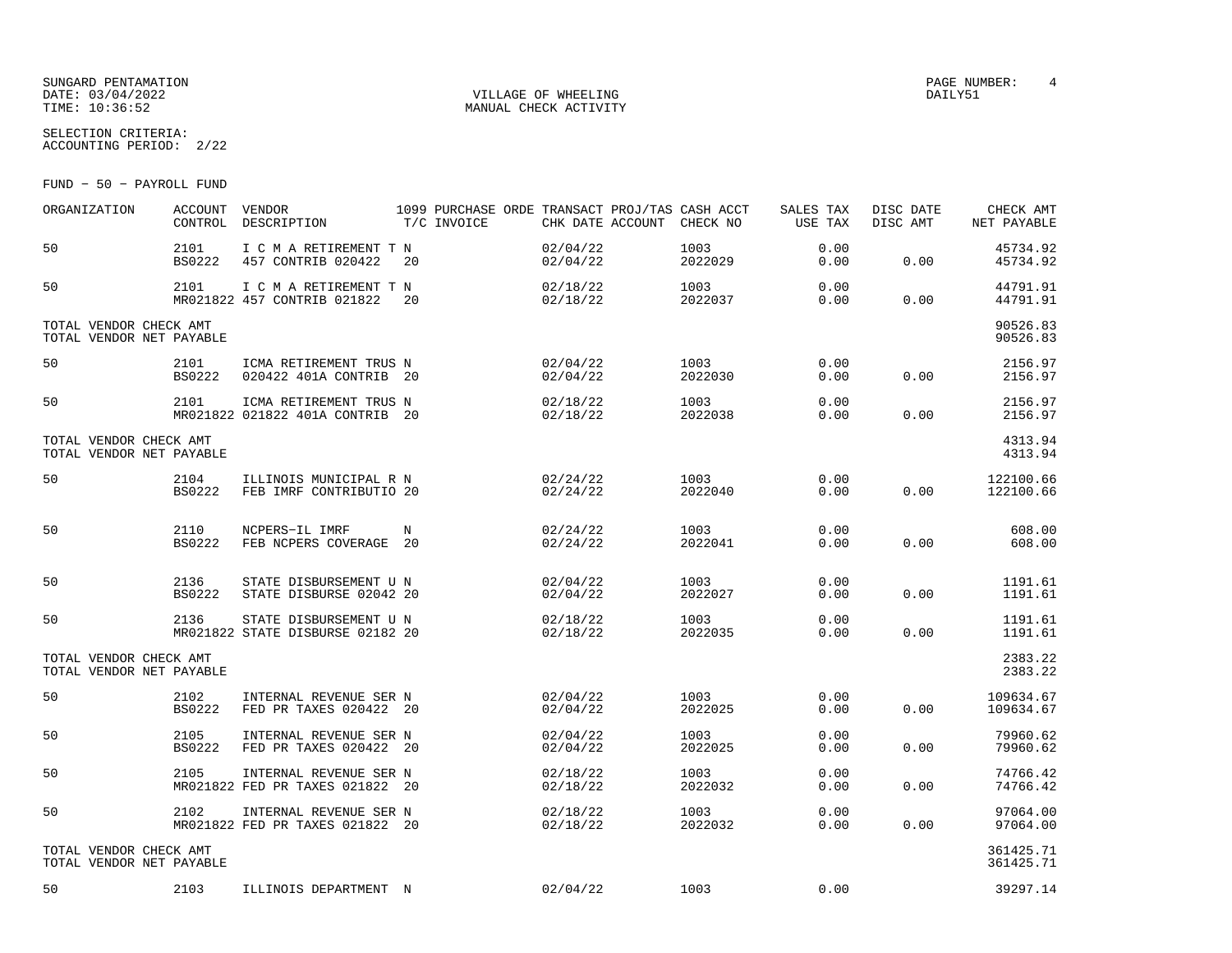### SUNGARD PENTAMATION SUNGARD PENTAMATION SUNGARD PAGE NUMBER: 4 SECOND PAGE NUMBER: 4 SECOND PAGE NUMBER: 4 SECOND PAGE NUMBER: 4 SECOND PAGE NUMBER: 4 SECOND PAGE NUMBER: 4 SECOND PAGE NUMBER: 4 SECOND PAGE NUMBER: 4 SECON DATE: 03/04/2022 VILLAGE OF WHEELING DAILY51

SELECTION CRITERIA:

ACCOUNTING PERIOD: 2/22

FUND − 50 − PAYROLL FUND

| ORGANIZATION                                       | ACCOUNT VENDOR        | CONTROL DESCRIPTION                                        | T/C INVOICE | 1099 PURCHASE ORDE TRANSACT PROJ/TAS CASH ACCT<br>CHK DATE ACCOUNT CHECK NO |                 | SALES TAX<br>USE TAX | DISC DATE<br>DISC AMT | CHECK AMT<br>NET PAYABLE |
|----------------------------------------------------|-----------------------|------------------------------------------------------------|-------------|-----------------------------------------------------------------------------|-----------------|----------------------|-----------------------|--------------------------|
| 50                                                 | 2101<br><b>BS0222</b> | I C M A RETIREMENT T N<br>457 CONTRIB 020422               | 20          | 02/04/22<br>02/04/22                                                        | 1003<br>2022029 | 0.00<br>0.00         | 0.00                  | 45734.92<br>45734.92     |
| 50                                                 | 2101                  | I C M A RETIREMENT T N<br>MR021822 457 CONTRIB 021822      | 20          | 02/18/22<br>02/18/22                                                        | 1003<br>2022037 | 0.00<br>0.00         | 0.00                  | 44791.91<br>44791.91     |
| TOTAL VENDOR CHECK AMT<br>TOTAL VENDOR NET PAYABLE |                       |                                                            |             |                                                                             |                 |                      |                       | 90526.83<br>90526.83     |
| 50                                                 | 2101<br><b>BS0222</b> | ICMA RETIREMENT TRUS N<br>020422 401A CONTRIB 20           |             | 02/04/22<br>02/04/22                                                        | 1003<br>2022030 | 0.00<br>0.00         | 0.00                  | 2156.97<br>2156.97       |
| 50                                                 | 2101                  | ICMA RETIREMENT TRUS N<br>MR021822 021822 401A CONTRIB 20  |             | 02/18/22<br>02/18/22                                                        | 1003<br>2022038 | 0.00<br>0.00         | 0.00                  | 2156.97<br>2156.97       |
| TOTAL VENDOR CHECK AMT<br>TOTAL VENDOR NET PAYABLE |                       |                                                            |             |                                                                             |                 |                      |                       | 4313.94<br>4313.94       |
| 50                                                 | 2104<br><b>BS0222</b> | ILLINOIS MUNICIPAL R N<br>FEB IMRF CONTRIBUTIO 20          |             | 02/24/22<br>02/24/22                                                        | 1003<br>2022040 | 0.00<br>0.00         | 0.00                  | 122100.66<br>122100.66   |
| 50                                                 | 2110<br><b>BS0222</b> | NCPERS-IL IMRF<br>FEB NCPERS COVERAGE 20                   | N           | 02/24/22<br>02/24/22                                                        | 1003<br>2022041 | 0.00<br>0.00         | 0.00                  | 608.00<br>608.00         |
| 50                                                 | 2136<br><b>BS0222</b> | STATE DISBURSEMENT U N<br>STATE DISBURSE 02042 20          |             | 02/04/22<br>02/04/22                                                        | 1003<br>2022027 | 0.00<br>0.00         | 0.00                  | 1191.61<br>1191.61       |
| 50                                                 | 2136                  | STATE DISBURSEMENT U N<br>MR021822 STATE DISBURSE 02182 20 |             | 02/18/22<br>02/18/22                                                        | 1003<br>2022035 | 0.00<br>0.00         | 0.00                  | 1191.61<br>1191.61       |
| TOTAL VENDOR CHECK AMT<br>TOTAL VENDOR NET PAYABLE |                       |                                                            |             |                                                                             |                 |                      |                       | 2383.22<br>2383.22       |
| 50                                                 | 2102<br><b>BS0222</b> | INTERNAL REVENUE SER N<br>FED PR TAXES 020422 20           |             | 02/04/22<br>02/04/22                                                        | 1003<br>2022025 | 0.00<br>0.00         | 0.00                  | 109634.67<br>109634.67   |
| 50                                                 | 2105<br><b>BS0222</b> | INTERNAL REVENUE SER N<br>FED PR TAXES 020422 20           |             | 02/04/22<br>02/04/22                                                        | 1003<br>2022025 | 0.00<br>0.00         | 0.00                  | 79960.62<br>79960.62     |
| 50                                                 | 2105                  | INTERNAL REVENUE SER N<br>MR021822 FED PR TAXES 021822 20  |             | 02/18/22<br>02/18/22                                                        | 1003<br>2022032 | 0.00<br>0.00         | 0.00                  | 74766.42<br>74766.42     |
| 50                                                 | 2102                  | INTERNAL REVENUE SER N<br>MR021822 FED PR TAXES 021822 20  |             | 02/18/22<br>02/18/22                                                        | 1003<br>2022032 | 0.00<br>0.00         | 0.00                  | 97064.00<br>97064.00     |
| TOTAL VENDOR CHECK AMT<br>TOTAL VENDOR NET PAYABLE |                       |                                                            |             |                                                                             |                 |                      |                       | 361425.71<br>361425.71   |
| 50                                                 | 2103                  | ILLINOIS DEPARTMENT N                                      |             | 02/04/22                                                                    | 1003            | 0.00                 |                       | 39297.14                 |

MANUAL CHECK ACTIVITY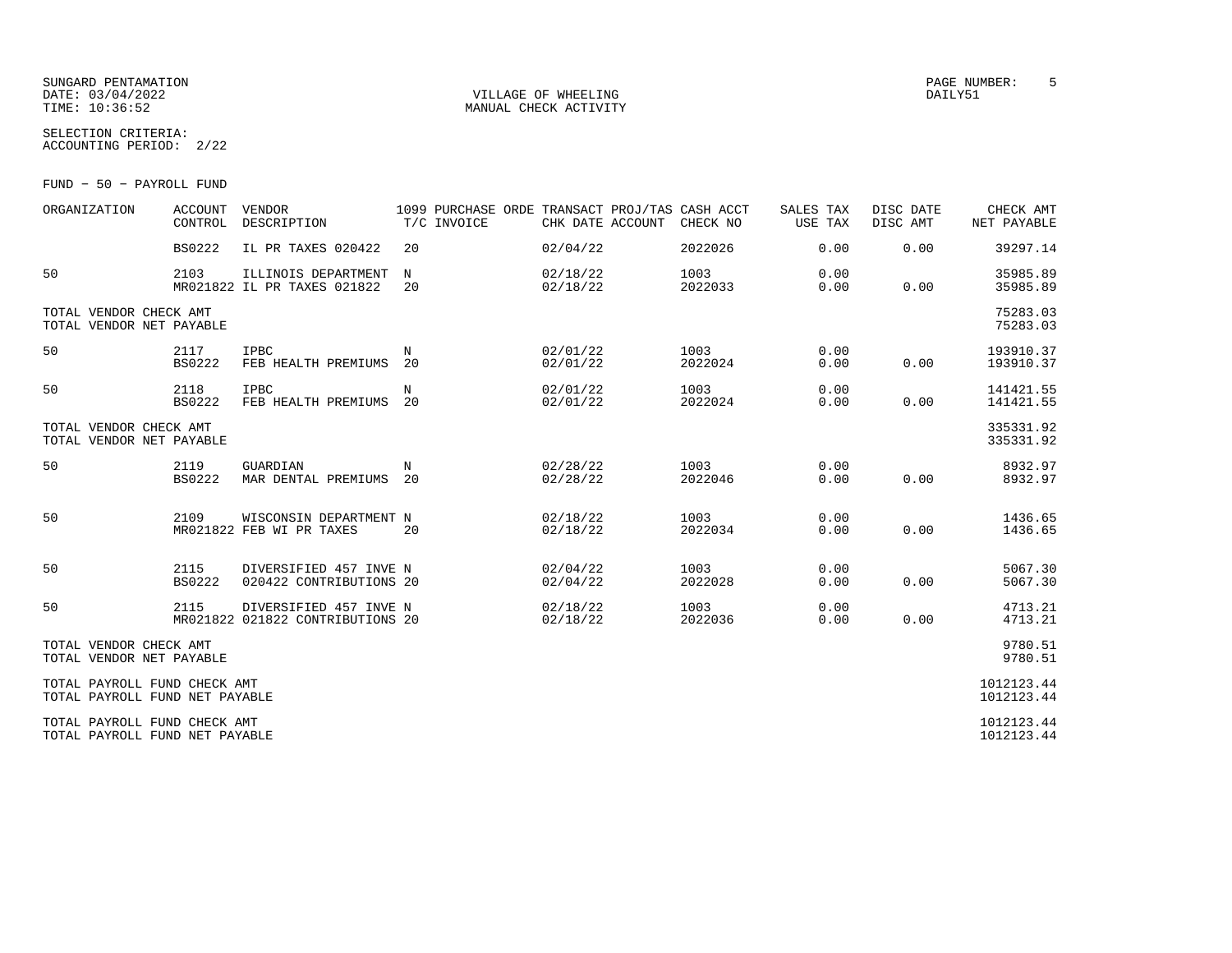### SUNGARD PENTAMATION PAGE NUMBER: 5DATE: 03/04/2022 VILLAGE OF WHEELING DAILY51

SELECTION CRITERIA:

MANUAL CHECK ACTIVITY

| 50<br>FUND | PAYROLL FUND |  |
|------------|--------------|--|
|            |              |  |

ACCOUNTING PERIOD: 2/22

| ORGANIZATION                                                   | <b>ACCOUNT</b><br>CONTROL | VENDOR<br>DESCRIPTION                                      | 1099 PURCHASE ORDE TRANSACT PROJ/TAS CASH ACCT<br>T/C INVOICE | CHK DATE ACCOUNT     | CHECK NO        | SALES TAX<br>USE TAX | DISC DATE<br>DISC AMT | CHECK AMT<br>NET PAYABLE |
|----------------------------------------------------------------|---------------------------|------------------------------------------------------------|---------------------------------------------------------------|----------------------|-----------------|----------------------|-----------------------|--------------------------|
|                                                                | <b>BS0222</b>             | IL PR TAXES 020422                                         | 20                                                            | 02/04/22             | 2022026         | 0.00                 | 0.00                  | 39297.14                 |
| 50                                                             | 2103                      | ILLINOIS DEPARTMENT<br>MR021822 IL PR TAXES 021822         | N<br>20                                                       | 02/18/22<br>02/18/22 | 1003<br>2022033 | 0.00<br>0.00         | 0.00                  | 35985.89<br>35985.89     |
| TOTAL VENDOR CHECK AMT<br>TOTAL VENDOR NET PAYABLE             |                           |                                                            |                                                               |                      |                 |                      |                       | 75283.03<br>75283.03     |
| 50                                                             | 2117<br><b>BS0222</b>     | <b>IPBC</b><br>FEB HEALTH PREMIUMS                         | N<br>20                                                       | 02/01/22<br>02/01/22 | 1003<br>2022024 | 0.00<br>0.00         | 0.00                  | 193910.37<br>193910.37   |
| 50                                                             | 2118<br><b>BS0222</b>     | IPBC<br>FEB HEALTH PREMIUMS                                | N<br>20                                                       | 02/01/22<br>02/01/22 | 1003<br>2022024 | 0.00<br>0.00         | 0.00                  | 141421.55<br>141421.55   |
| TOTAL VENDOR CHECK AMT<br>TOTAL VENDOR NET PAYABLE             |                           |                                                            |                                                               |                      |                 |                      |                       | 335331.92<br>335331.92   |
| 50                                                             | 2119<br><b>BS0222</b>     | GUARDIAN<br>MAR DENTAL PREMIUMS                            | N<br>20                                                       | 02/28/22<br>02/28/22 | 1003<br>2022046 | 0.00<br>0.00         | 0.00                  | 8932.97<br>8932.97       |
| 50                                                             | 2109                      | WISCONSIN DEPARTMENT N<br>MR021822 FEB WI PR TAXES         | 20                                                            | 02/18/22<br>02/18/22 | 1003<br>2022034 | 0.00<br>0.00         | 0.00                  | 1436.65<br>1436.65       |
| 50                                                             | 2115<br><b>BS0222</b>     | DIVERSIFIED 457 INVE N<br>020422 CONTRIBUTIONS 20          |                                                               | 02/04/22<br>02/04/22 | 1003<br>2022028 | 0.00<br>0.00         | 0.00                  | 5067.30<br>5067.30       |
| 50                                                             | 2115                      | DIVERSIFIED 457 INVE N<br>MR021822 021822 CONTRIBUTIONS 20 |                                                               | 02/18/22<br>02/18/22 | 1003<br>2022036 | 0.00<br>0.00         | 0.00                  | 4713.21<br>4713.21       |
| TOTAL VENDOR CHECK AMT<br>TOTAL VENDOR NET PAYABLE             |                           |                                                            |                                                               |                      |                 |                      |                       | 9780.51<br>9780.51       |
| TOTAL PAYROLL FUND CHECK AMT<br>TOTAL PAYROLL FUND NET PAYABLE |                           |                                                            |                                                               |                      |                 |                      |                       | 1012123.44<br>1012123.44 |
| TOTAL PAYROLL FUND CHECK AMT<br>TOTAL PAYROLL FUND NET PAYABLE |                           |                                                            |                                                               |                      |                 |                      |                       | 1012123.44<br>1012123.44 |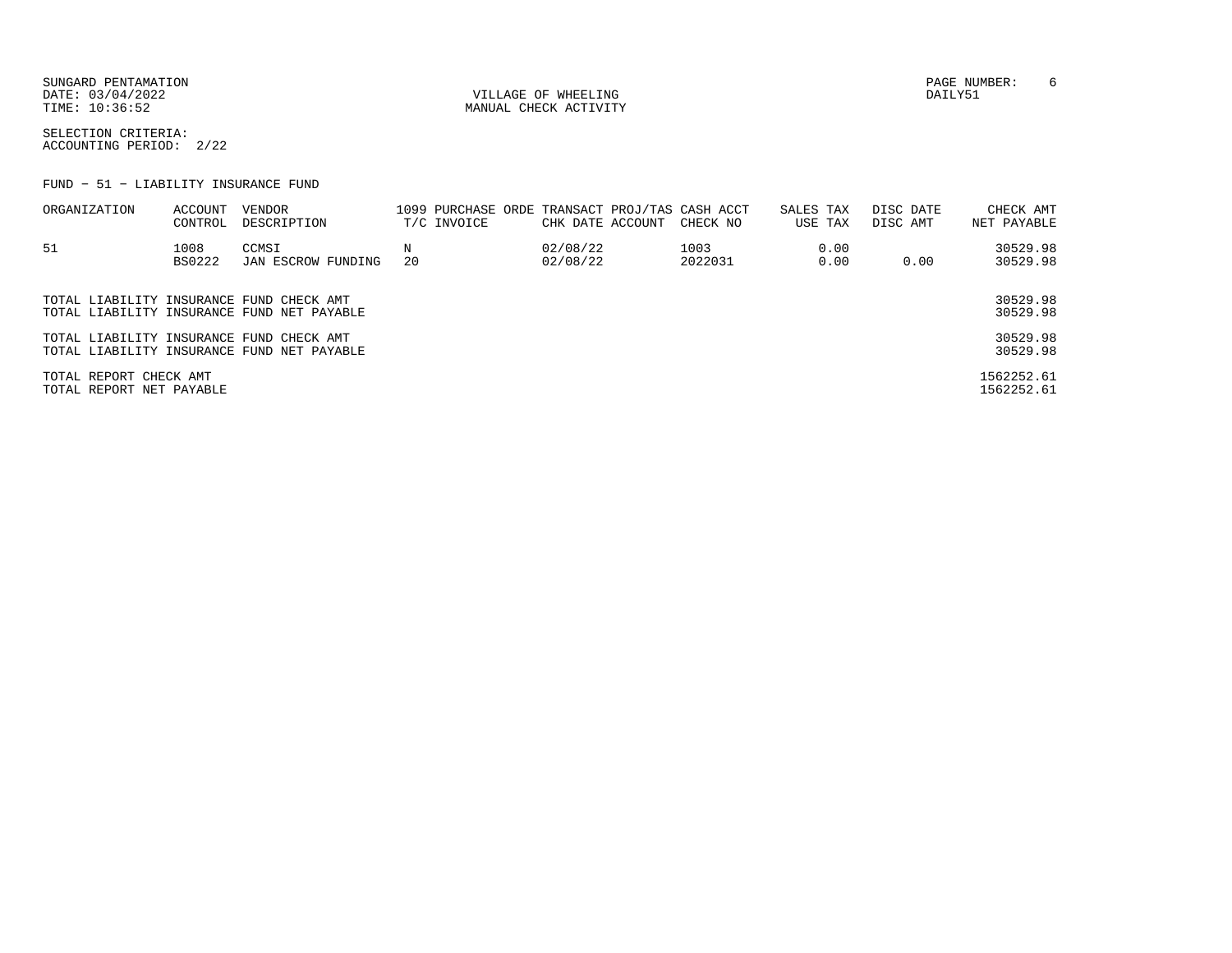SUNGARD PENTAMATION PAGE NUMBER: 6DATE: 03/04/2022 VILLAGE OF WHEELING DAILY51

TIME:  $10:36:52$  MANUAL CHECK ACTIVITY

SELECTION CRITERIA:ACCOUNTING PERIOD: 2/22

FUND − 51 − LIABILITY INSURANCE FUND

| ORGANIZATION                                       | ACCOUNT<br>CONTROL | VENDOR<br>DESCRIPTION                      | 1099 PURCHASE ORDE TRANSACT PROJ/TAS CASH ACCT<br>T/C INVOICE | CHK DATE ACCOUNT     | CHECK NO        | SALES TAX<br>USE TAX | DISC DATE<br>DISC AMT | CHECK AMT<br>NET PAYABLE |
|----------------------------------------------------|--------------------|--------------------------------------------|---------------------------------------------------------------|----------------------|-----------------|----------------------|-----------------------|--------------------------|
| 51                                                 | 1008<br>BS0222     | CCMSI<br>JAN ESCROW FUNDING                | 20                                                            | 02/08/22<br>02/08/22 | 1003<br>2022031 | 0.00<br>0.00         | 0.00                  | 30529.98<br>30529.98     |
| TOTAL LIABILITY INSURANCE FUND CHECK AMT           |                    | TOTAL LIABILITY INSURANCE FUND NET PAYABLE |                                                               |                      |                 |                      |                       | 30529.98<br>30529.98     |
| TOTAL LIABILITY INSURANCE FUND CHECK AMT           |                    | TOTAL LIABILITY INSURANCE FUND NET PAYABLE |                                                               |                      |                 |                      |                       | 30529.98<br>30529.98     |
| TOTAL REPORT CHECK AMT<br>TOTAL REPORT NET PAYABLE |                    |                                            |                                                               |                      |                 |                      |                       | 1562252.61<br>1562252.61 |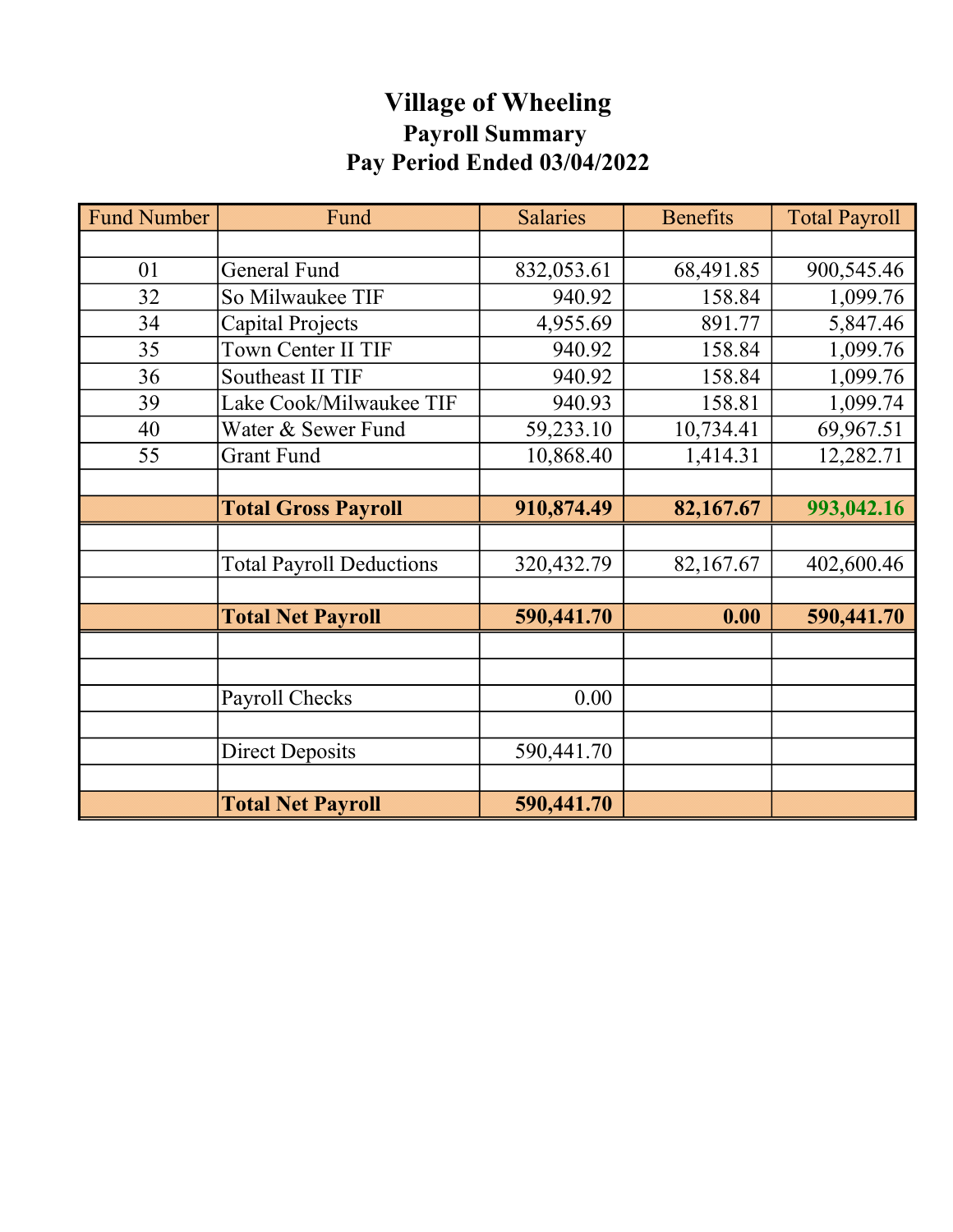# Village of Wheeling Payroll Summary Pay Period Ended 03/04/2022

| <b>Fund Number</b> | Fund                            | <b>Salaries</b> | <b>Benefits</b> | <b>Total Payroll</b> |
|--------------------|---------------------------------|-----------------|-----------------|----------------------|
|                    |                                 |                 |                 |                      |
| 01                 | <b>General Fund</b>             | 832,053.61      | 68,491.85       | 900,545.46           |
| 32                 | So Milwaukee TIF                | 940.92          | 158.84          | 1,099.76             |
| 34                 | Capital Projects                | 4,955.69        | 891.77          | 5,847.46             |
| 35                 | Town Center II TIF              | 940.92          | 158.84          | 1,099.76             |
| 36                 | <b>Southeast II TIF</b>         | 940.92          | 158.84          | 1,099.76             |
| 39                 | Lake Cook/Milwaukee TIF         | 940.93          | 158.81          | 1,099.74             |
| 40                 | Water & Sewer Fund              | 59,233.10       | 10,734.41       | 69,967.51            |
| 55                 | <b>Grant Fund</b>               | 10,868.40       | 1,414.31        | 12,282.71            |
|                    |                                 |                 |                 |                      |
|                    | <b>Total Gross Payroll</b>      | 910,874.49      | 82,167.67       | 993,042.16           |
|                    |                                 |                 |                 |                      |
|                    | <b>Total Payroll Deductions</b> | 320, 432. 79    | 82,167.67       | 402,600.46           |
|                    |                                 |                 |                 |                      |
|                    | <b>Total Net Payroll</b>        | 590,441.70      | 0.00            | 590,441.70           |
|                    |                                 |                 |                 |                      |
|                    |                                 |                 |                 |                      |
|                    | Payroll Checks                  | 0.00            |                 |                      |
|                    |                                 |                 |                 |                      |
|                    | <b>Direct Deposits</b>          | 590,441.70      |                 |                      |
|                    |                                 |                 |                 |                      |
|                    | <b>Total Net Payroll</b>        | 590,441.70      |                 |                      |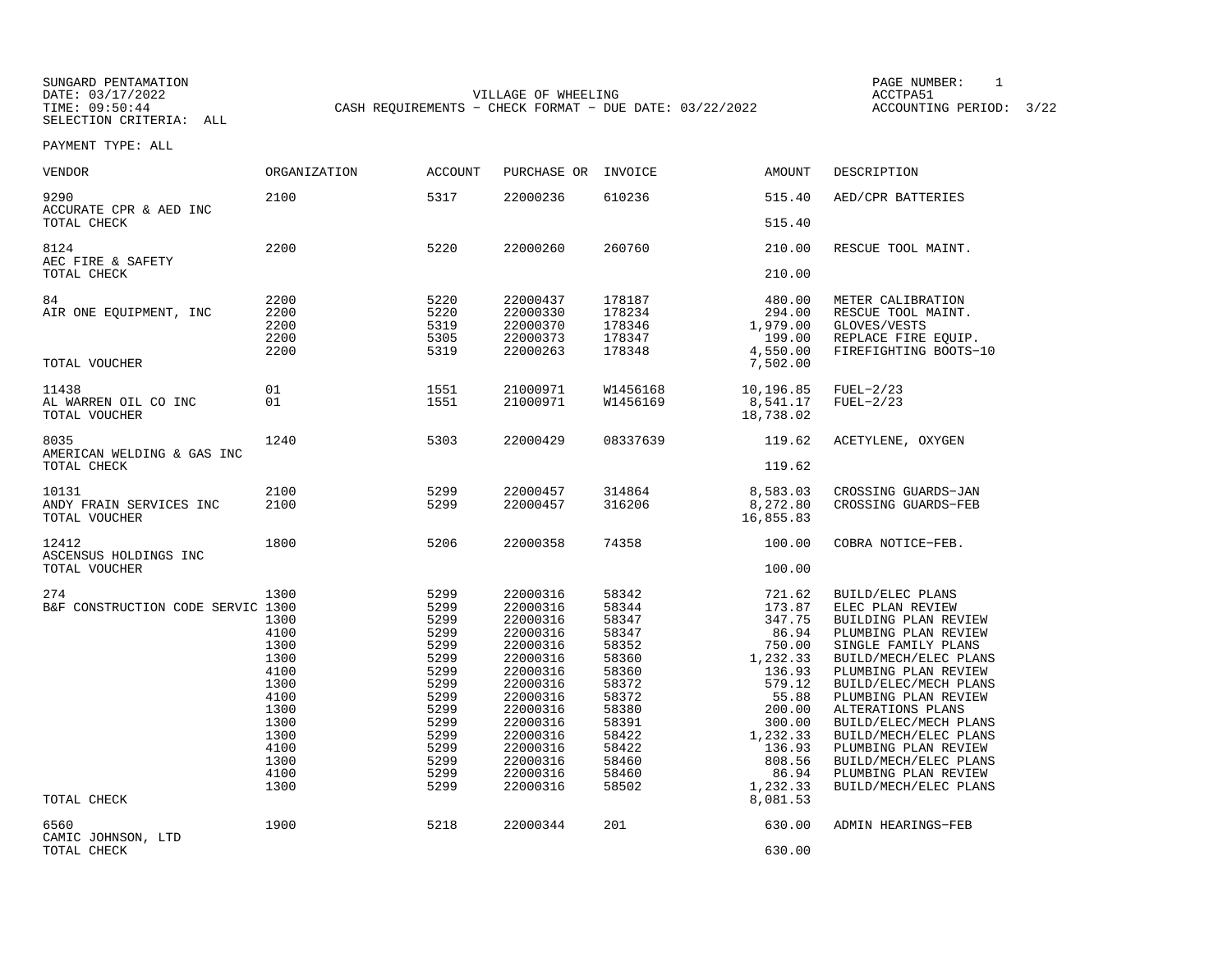SUNGARD PENTAMATION PAGE NUMBER: 1DATE: 03/17/2022 VILLAGE OF WHEELING ACCTPA51CASH REQUIREMENTS - CHECK FORMAT - DUE DATE: 03/22/2022

ACCOUNTING PERIOD: 3/22

| <b>VENDOR</b>                                           | <b>ORGANIZATION</b>                                                                                                  | <b>ACCOUNT</b>                                                                                                               | PURCHASE OR                                                                                                                                                                                  | INVOICE                                                                                                                                      | <b>AMOUNT</b>                                                                                                                                                               | DESCRIPTION                                                                                                                                                                                                                                                                                                                                                                            |
|---------------------------------------------------------|----------------------------------------------------------------------------------------------------------------------|------------------------------------------------------------------------------------------------------------------------------|----------------------------------------------------------------------------------------------------------------------------------------------------------------------------------------------|----------------------------------------------------------------------------------------------------------------------------------------------|-----------------------------------------------------------------------------------------------------------------------------------------------------------------------------|----------------------------------------------------------------------------------------------------------------------------------------------------------------------------------------------------------------------------------------------------------------------------------------------------------------------------------------------------------------------------------------|
| 9290<br>ACCURATE CPR & AED INC<br>TOTAL CHECK           | 2100                                                                                                                 | 5317                                                                                                                         | 22000236                                                                                                                                                                                     | 610236                                                                                                                                       | 515.40<br>515.40                                                                                                                                                            | AED/CPR BATTERIES                                                                                                                                                                                                                                                                                                                                                                      |
|                                                         |                                                                                                                      |                                                                                                                              |                                                                                                                                                                                              |                                                                                                                                              |                                                                                                                                                                             |                                                                                                                                                                                                                                                                                                                                                                                        |
| 8124<br>AEC FIRE & SAFETY                               | 2200                                                                                                                 | 5220                                                                                                                         | 22000260                                                                                                                                                                                     | 260760                                                                                                                                       | 210.00                                                                                                                                                                      | RESCUE TOOL MAINT.                                                                                                                                                                                                                                                                                                                                                                     |
| TOTAL CHECK                                             |                                                                                                                      |                                                                                                                              |                                                                                                                                                                                              |                                                                                                                                              | 210.00                                                                                                                                                                      |                                                                                                                                                                                                                                                                                                                                                                                        |
| 84<br>AIR ONE EQUIPMENT, INC                            | 2200<br>2200<br>2200<br>2200<br>2200                                                                                 | 5220<br>5220<br>5319<br>5305<br>5319                                                                                         | 22000437<br>22000330<br>22000370<br>22000373<br>22000263                                                                                                                                     | 178187<br>178234<br>178346<br>178347<br>178348                                                                                               | 480.00<br>294.00<br>1,979.00<br>199.00<br>4,550.00                                                                                                                          | METER CALIBRATION<br>RESCUE TOOL MAINT.<br>GLOVES/VESTS<br>REPLACE FIRE EQUIP.<br>FIREFIGHTING BOOTS-10                                                                                                                                                                                                                                                                                |
| TOTAL VOUCHER                                           |                                                                                                                      |                                                                                                                              |                                                                                                                                                                                              |                                                                                                                                              | 7,502.00                                                                                                                                                                    |                                                                                                                                                                                                                                                                                                                                                                                        |
| 11438<br>AL WARREN OIL CO INC<br>TOTAL VOUCHER          | 01<br>01                                                                                                             | 1551<br>1551                                                                                                                 | 21000971<br>21000971                                                                                                                                                                         | W1456168<br>W1456169                                                                                                                         | 10,196.85<br>8,541.17<br>18,738.02                                                                                                                                          | $FUEL-2/23$<br>$FUEL-2/23$                                                                                                                                                                                                                                                                                                                                                             |
| 8035                                                    | 1240                                                                                                                 | 5303                                                                                                                         | 22000429                                                                                                                                                                                     | 08337639                                                                                                                                     | 119.62                                                                                                                                                                      | ACETYLENE, OXYGEN                                                                                                                                                                                                                                                                                                                                                                      |
| AMERICAN WELDING & GAS INC<br>TOTAL CHECK               |                                                                                                                      |                                                                                                                              |                                                                                                                                                                                              |                                                                                                                                              | 119.62                                                                                                                                                                      |                                                                                                                                                                                                                                                                                                                                                                                        |
| 10131<br>ANDY FRAIN SERVICES INC<br>TOTAL VOUCHER       | 2100<br>2100                                                                                                         | 5299<br>5299                                                                                                                 | 22000457<br>22000457                                                                                                                                                                         | 314864<br>316206                                                                                                                             | 8,583.03<br>8,272.80<br>16,855.83                                                                                                                                           | CROSSING GUARDS-JAN<br>CROSSING GUARDS-FEB                                                                                                                                                                                                                                                                                                                                             |
| 12412<br>ASCENSUS HOLDINGS INC                          | 1800                                                                                                                 | 5206                                                                                                                         | 22000358                                                                                                                                                                                     | 74358                                                                                                                                        | 100.00                                                                                                                                                                      | COBRA NOTICE-FEB.                                                                                                                                                                                                                                                                                                                                                                      |
| TOTAL VOUCHER                                           |                                                                                                                      |                                                                                                                              |                                                                                                                                                                                              |                                                                                                                                              | 100.00                                                                                                                                                                      |                                                                                                                                                                                                                                                                                                                                                                                        |
| 274<br>B&F CONSTRUCTION CODE SERVIC 1300<br>TOTAL CHECK | 1300<br>1300<br>4100<br>1300<br>1300<br>4100<br>1300<br>4100<br>1300<br>1300<br>1300<br>4100<br>1300<br>4100<br>1300 | 5299<br>5299<br>5299<br>5299<br>5299<br>5299<br>5299<br>5299<br>5299<br>5299<br>5299<br>5299<br>5299<br>5299<br>5299<br>5299 | 22000316<br>22000316<br>22000316<br>22000316<br>22000316<br>22000316<br>22000316<br>22000316<br>22000316<br>22000316<br>22000316<br>22000316<br>22000316<br>22000316<br>22000316<br>22000316 | 58342<br>58344<br>58347<br>58347<br>58352<br>58360<br>58360<br>58372<br>58372<br>58380<br>58391<br>58422<br>58422<br>58460<br>58460<br>58502 | 721.62<br>173.87<br>347.75<br>86.94<br>750.00<br>1,232.33<br>136.93<br>579.12<br>55.88<br>200.00<br>300.00<br>1,232.33<br>136.93<br>808.56<br>86.94<br>1,232.33<br>8,081.53 | BUILD/ELEC PLANS<br>ELEC PLAN REVIEW<br>BUILDING PLAN REVIEW<br>PLUMBING PLAN REVIEW<br>SINGLE FAMILY PLANS<br>BUILD/MECH/ELEC PLANS<br>PLUMBING PLAN REVIEW<br>BUILD/ELEC/MECH PLANS<br>PLUMBING PLAN REVIEW<br>ALTERATIONS PLANS<br>BUILD/ELEC/MECH PLANS<br>BUILD/MECH/ELEC PLANS<br>PLUMBING PLAN REVIEW<br>BUILD/MECH/ELEC PLANS<br>PLUMBING PLAN REVIEW<br>BUILD/MECH/ELEC PLANS |
| 6560<br>CAMIC JOHNSON, LTD<br>TOTAL CHECK               | 1900                                                                                                                 | 5218                                                                                                                         | 22000344                                                                                                                                                                                     | 201                                                                                                                                          | 630.00<br>630.00                                                                                                                                                            | ADMIN HEARINGS-FEB                                                                                                                                                                                                                                                                                                                                                                     |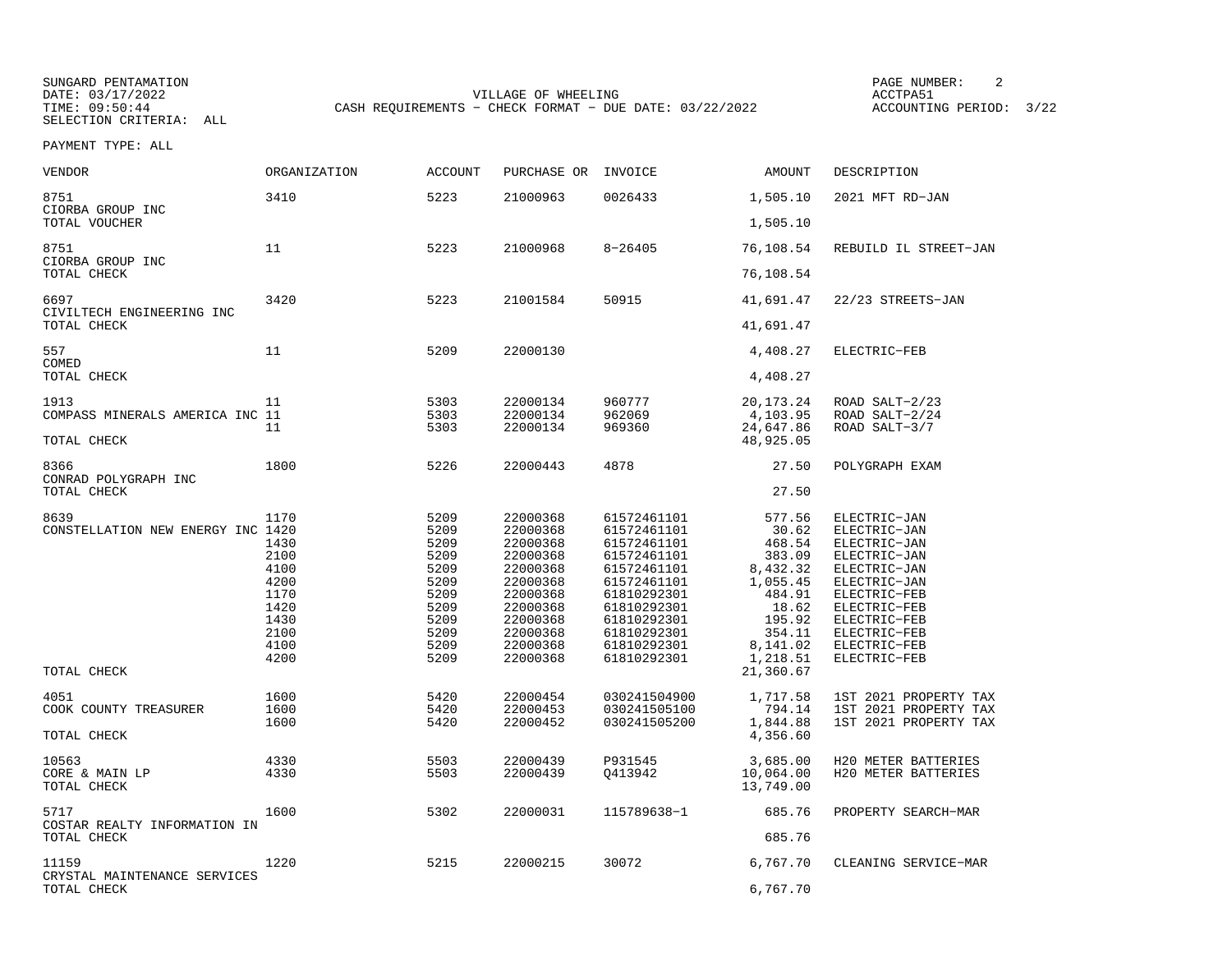SUNGARD PENTAMATION SUNGARD PENTAMATION SUNGARD PAGE NUMBER: 2 DATE: 03/17/2022 VILLAGE OF WHEELING ACCTPA51CASH REQUIREMENTS - CHECK FORMAT - DUE DATE: 03/22/2022

ACCOUNTING PERIOD: 3/22

| <b>VENDOR</b>                             | <b>ORGANIZATION</b>                          | <b>ACCOUNT</b>                                       | PURCHASE OR                                                                      | INVOICE                                                                                               | AMOUNT                                                                | DESCRIPTION                                                                                                  |
|-------------------------------------------|----------------------------------------------|------------------------------------------------------|----------------------------------------------------------------------------------|-------------------------------------------------------------------------------------------------------|-----------------------------------------------------------------------|--------------------------------------------------------------------------------------------------------------|
| 8751<br>CIORBA GROUP INC                  | 3410                                         | 5223                                                 | 21000963                                                                         | 0026433                                                                                               | 1,505.10                                                              | 2021 MFT RD-JAN                                                                                              |
| TOTAL VOUCHER                             |                                              |                                                      |                                                                                  |                                                                                                       | 1,505.10                                                              |                                                                                                              |
| 8751<br>CIORBA GROUP INC                  | 11                                           | 5223                                                 | 21000968                                                                         | $8 - 26405$                                                                                           | 76,108.54                                                             | REBUILD IL STREET-JAN                                                                                        |
| TOTAL CHECK                               |                                              |                                                      |                                                                                  |                                                                                                       | 76,108.54                                                             |                                                                                                              |
| 6697<br>CIVILTECH ENGINEERING INC         | 3420                                         | 5223                                                 | 21001584                                                                         | 50915                                                                                                 | 41,691.47                                                             | 22/23 STREETS-JAN                                                                                            |
| TOTAL CHECK                               |                                              |                                                      |                                                                                  |                                                                                                       | 41,691.47                                                             |                                                                                                              |
| 557<br>COMED                              | 11                                           | 5209                                                 | 22000130                                                                         |                                                                                                       | 4,408.27                                                              | ELECTRIC-FEB                                                                                                 |
| TOTAL CHECK                               |                                              |                                                      |                                                                                  |                                                                                                       | 4,408.27                                                              |                                                                                                              |
| 1913<br>COMPASS MINERALS AMERICA INC 11   | 11                                           | 5303<br>5303                                         | 22000134<br>22000134                                                             | 960777                                                                                                | 20, 173. 24                                                           | ROAD SALT-2/23<br>ROAD SALT-2/24                                                                             |
|                                           | 11                                           | 5303                                                 | 22000134                                                                         | 962069<br>969360                                                                                      | 4,103.95<br>24,647.86                                                 | ROAD SALT-3/7                                                                                                |
| TOTAL CHECK                               |                                              |                                                      |                                                                                  |                                                                                                       | 48,925.05                                                             |                                                                                                              |
| 8366<br>CONRAD POLYGRAPH INC              | 1800                                         | 5226                                                 | 22000443                                                                         | 4878                                                                                                  | 27.50                                                                 | POLYGRAPH EXAM                                                                                               |
| TOTAL CHECK                               |                                              |                                                      |                                                                                  |                                                                                                       | 27.50                                                                 |                                                                                                              |
| 8639<br>CONSTELLATION NEW ENERGY INC 1420 | 1170<br>1430<br>2100<br>4100<br>4200<br>1170 | 5209<br>5209<br>5209<br>5209<br>5209<br>5209<br>5209 | 22000368<br>22000368<br>22000368<br>22000368<br>22000368<br>22000368<br>22000368 | 61572461101<br>61572461101<br>61572461101<br>61572461101<br>61572461101<br>61572461101<br>61810292301 | 577.56<br>30.62<br>468.54<br>383.09<br>8,432.32<br>1,055.45<br>484.91 | ELECTRIC-JAN<br>ELECTRIC-JAN<br>ELECTRIC-JAN<br>ELECTRIC-JAN<br>ELECTRIC-JAN<br>ELECTRIC-JAN<br>ELECTRIC-FEB |
|                                           | 1420<br>1430<br>2100<br>4100<br>4200         | 5209<br>5209<br>5209<br>5209<br>5209                 | 22000368<br>22000368<br>22000368<br>22000368<br>22000368                         | 61810292301<br>61810292301<br>61810292301<br>61810292301<br>61810292301                               | 18.62<br>195.92<br>354.11<br>8,141.02<br>1,218.51                     | ELECTRIC-FEB<br>ELECTRIC-FEB<br>ELECTRIC-FEB<br>ELECTRIC-FEB<br>ELECTRIC-FEB                                 |
| TOTAL CHECK                               |                                              |                                                      |                                                                                  |                                                                                                       | 21,360.67                                                             |                                                                                                              |
| 4051<br>COOK COUNTY TREASURER             | 1600<br>1600<br>1600                         | 5420<br>5420<br>5420                                 | 22000454<br>22000453<br>22000452                                                 | 030241504900<br>030241505100<br>030241505200                                                          | 1,717.58<br>794.14<br>1,844.88                                        | 1ST 2021 PROPERTY TAX<br>1ST 2021 PROPERTY TAX<br>1ST 2021 PROPERTY TAX                                      |
| TOTAL CHECK                               |                                              |                                                      |                                                                                  |                                                                                                       | 4,356.60                                                              |                                                                                                              |
| 10563<br>CORE & MAIN LP<br>TOTAL CHECK    | 4330<br>4330                                 | 5503<br>5503                                         | 22000439<br>22000439                                                             | P931545<br>Q413942                                                                                    | 3,685.00<br>10,064.00<br>13,749.00                                    | H20 METER BATTERIES<br>H20 METER BATTERIES                                                                   |
| 5717<br>COSTAR REALTY INFORMATION IN      | 1600                                         | 5302                                                 | 22000031                                                                         | 115789638-1                                                                                           | 685.76                                                                | PROPERTY SEARCH-MAR                                                                                          |
| TOTAL CHECK                               |                                              |                                                      |                                                                                  |                                                                                                       | 685.76                                                                |                                                                                                              |
| 11159<br>CRYSTAL MAINTENANCE SERVICES     | 1220                                         | 5215                                                 | 22000215                                                                         | 30072                                                                                                 | 6,767.70                                                              | CLEANING SERVICE-MAR                                                                                         |
| TOTAL CHECK                               |                                              |                                                      |                                                                                  |                                                                                                       | 6,767.70                                                              |                                                                                                              |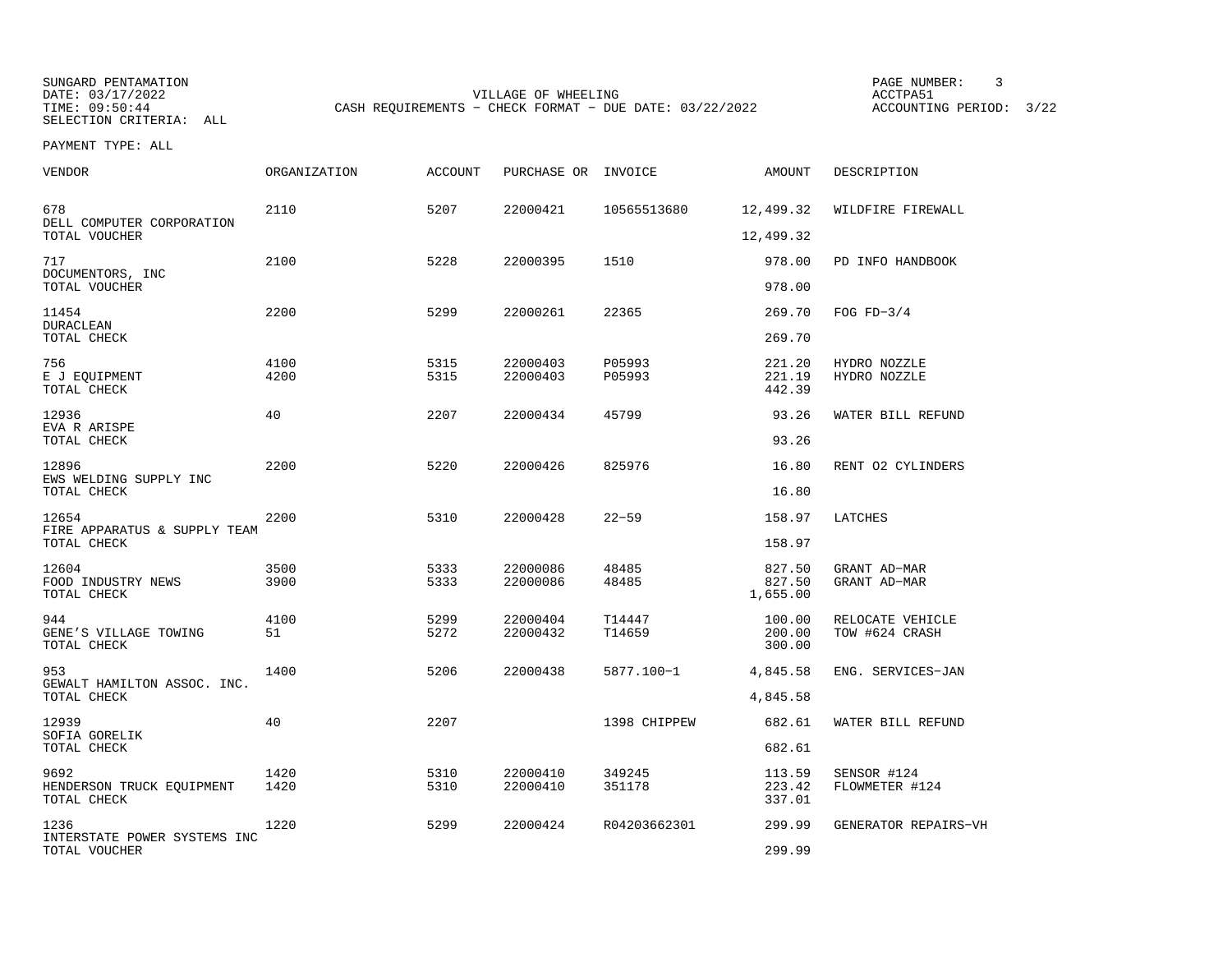SUNGARD PENTAMATION SUNGARD PENTAMATION SUNG PAGE NUMBER: 3 SUNGARD PENTAMATION SUNG PAGE NUMBER: 3 SUNG PAGE NUMBER: 3 SUNG PAGE NUMBER: 3 SUNG PAGE NUMBER: 3 SUNG PAGE NUMBER: 3 SUNG PAGE NUMBER: 3 SUNG PAGE NUMBER: 3 SU SELECTION CRITERIA: ALL

DATE: 03/17/2022 VILLAGE OF WHEELING ACCTPA51CASH REQUIREMENTS - CHECK FORMAT - DUE DATE: 03/22/2022

ACCOUNTING PERIOD: 3/22

| VENDOR                                                | <b>ORGANIZATION</b> | <b>ACCOUNT</b> | PURCHASE OR INVOICE  |                  | AMOUNT                       | DESCRIPTION                        |
|-------------------------------------------------------|---------------------|----------------|----------------------|------------------|------------------------------|------------------------------------|
| 678<br>DELL COMPUTER CORPORATION                      | 2110                | 5207           | 22000421             | 10565513680      | 12,499.32                    | WILDFIRE FIREWALL                  |
| TOTAL VOUCHER                                         |                     |                |                      |                  | 12,499.32                    |                                    |
| 717<br>DOCUMENTORS, INC<br>TOTAL VOUCHER              | 2100                | 5228           | 22000395             | 1510             | 978.00<br>978.00             | PD INFO HANDBOOK                   |
| 11454<br><b>DURACLEAN</b>                             | 2200                | 5299           | 22000261             | 22365            | 269.70                       | FOG $FD-3/4$                       |
| TOTAL CHECK                                           |                     |                |                      |                  | 269.70                       |                                    |
| 756<br>E J EQUIPMENT<br>TOTAL CHECK                   | 4100<br>4200        | 5315<br>5315   | 22000403<br>22000403 | P05993<br>P05993 | 221.20<br>221.19<br>442.39   | HYDRO NOZZLE<br>HYDRO NOZZLE       |
| 12936                                                 | 40                  | 2207           | 22000434             | 45799            | 93.26                        | WATER BILL REFUND                  |
| EVA R ARISPE<br>TOTAL CHECK                           |                     |                |                      |                  | 93.26                        |                                    |
| 12896                                                 | 2200                | 5220           | 22000426             | 825976           | 16.80                        | RENT 02 CYLINDERS                  |
| EWS WELDING SUPPLY INC<br>TOTAL CHECK                 |                     |                |                      |                  | 16.80                        |                                    |
| 12654<br>FIRE APPARATUS & SUPPLY TEAM<br>TOTAL CHECK  | 2200                | 5310           | 22000428             | $22 - 59$        | 158.97<br>158.97             | LATCHES                            |
| 12604<br>FOOD INDUSTRY NEWS<br>TOTAL CHECK            | 3500<br>3900        | 5333<br>5333   | 22000086<br>22000086 | 48485<br>48485   | 827.50<br>827.50<br>1,655.00 | GRANT AD-MAR<br>GRANT AD-MAR       |
| 944<br>GENE'S VILLAGE TOWING<br>TOTAL CHECK           | 4100<br>51          | 5299<br>5272   | 22000404<br>22000432 | T14447<br>T14659 | 100.00<br>200.00<br>300.00   | RELOCATE VEHICLE<br>TOW #624 CRASH |
| 953<br>GEWALT HAMILTON ASSOC. INC.                    | 1400                | 5206           | 22000438             | 5877.100-1       | 4,845.58                     | ENG. SERVICES-JAN                  |
| TOTAL CHECK                                           |                     |                |                      |                  | 4,845.58                     |                                    |
| 12939<br>SOFIA GORELIK<br>TOTAL CHECK                 | 40                  | 2207           |                      | 1398 CHIPPEW     | 682.61<br>682.61             | WATER BILL REFUND                  |
| 9692<br>HENDERSON TRUCK EQUIPMENT<br>TOTAL CHECK      | 1420<br>1420        | 5310<br>5310   | 22000410<br>22000410 | 349245<br>351178 | 113.59<br>223.42<br>337.01   | SENSOR #124<br>FLOWMETER #124      |
| 1236<br>INTERSTATE POWER SYSTEMS INC<br>TOTAL VOUCHER | 1220                | 5299           | 22000424             | R04203662301     | 299.99<br>299.99             | GENERATOR REPAIRS-VH               |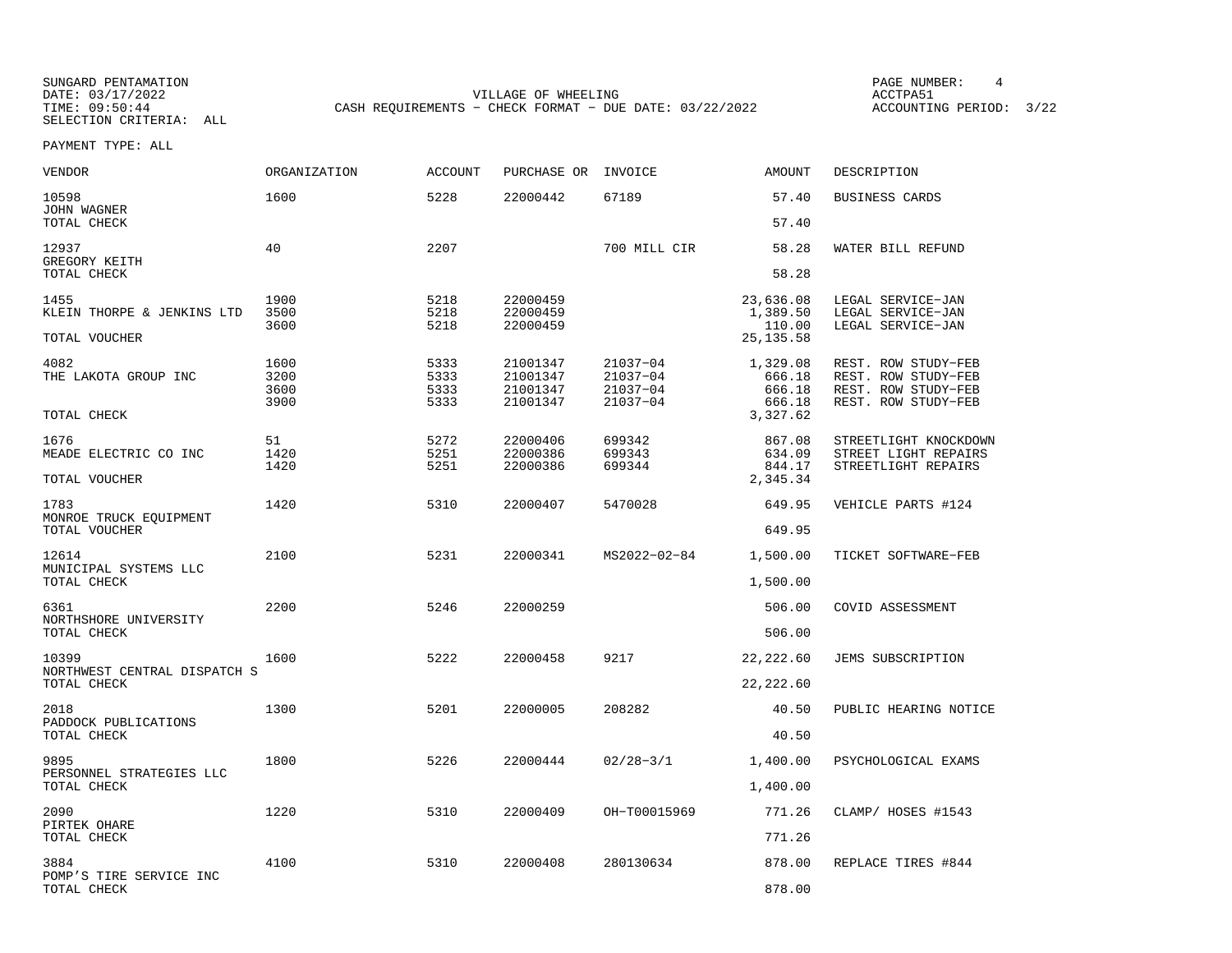SUNGARD PENTAMATION SUNGARD PENTAMATION SUNGARD PAGE NUMBER: 4 SELECTION CRITERIA: ALL

DATE: 03/17/2022 VILLAGE OF WHEELING ACCTPA51CASH REQUIREMENTS - CHECK FORMAT - DUE DATE: 03/22/2022

ACCOUNTING PERIOD: 3/22

| <b>VENDOR</b>                           | ORGANIZATION | ACCOUNT      | PURCHASE OR          | INVOICE              | <b>AMOUNT</b>         | DESCRIPTION                                 |
|-----------------------------------------|--------------|--------------|----------------------|----------------------|-----------------------|---------------------------------------------|
| 10598<br>JOHN WAGNER                    | 1600         | 5228         | 22000442             | 67189                | 57.40<br>57.40        | BUSINESS CARDS                              |
| TOTAL CHECK                             |              |              |                      |                      |                       |                                             |
| 12937<br>GREGORY KEITH<br>TOTAL CHECK   | 40           | 2207         |                      | 700 MILL CIR         | 58.28<br>58.28        | WATER BILL REFUND                           |
|                                         |              |              |                      |                      |                       |                                             |
| 1455<br>KLEIN THORPE & JENKINS LTD      | 1900<br>3500 | 5218<br>5218 | 22000459<br>22000459 |                      | 23,636.08<br>1,389.50 | LEGAL SERVICE-JAN<br>LEGAL SERVICE-JAN      |
|                                         | 3600         | 5218         | 22000459             |                      | 110.00                | LEGAL SERVICE-JAN                           |
| TOTAL VOUCHER                           |              |              |                      |                      | 25, 135.58            |                                             |
| 4082                                    | 1600         | 5333         | 21001347             | 21037-04             | 1,329.08              | REST. ROW STUDY-FEB                         |
| THE LAKOTA GROUP INC                    | 3200<br>3600 | 5333<br>5333 | 21001347<br>21001347 | 21037-04<br>21037-04 | 666.18<br>666.18      | REST. ROW STUDY-FEB<br>REST. ROW STUDY-FEB  |
|                                         | 3900         | 5333         | 21001347             | $21037 - 04$         | 666.18                | REST. ROW STUDY-FEB                         |
| TOTAL CHECK                             |              |              |                      |                      | 3,327.62              |                                             |
| 1676                                    | 51           | 5272         | 22000406             | 699342               | 867.08                | STREETLIGHT KNOCKDOWN                       |
| MEADE ELECTRIC CO INC                   | 1420<br>1420 | 5251<br>5251 | 22000386<br>22000386 | 699343<br>699344     | 634.09<br>844.17      | STREET LIGHT REPAIRS<br>STREETLIGHT REPAIRS |
| TOTAL VOUCHER                           |              |              |                      |                      | 2,345.34              |                                             |
| 1783                                    | 1420         | 5310         | 22000407             | 5470028              | 649.95                | VEHICLE PARTS #124                          |
| MONROE TRUCK EQUIPMENT<br>TOTAL VOUCHER |              |              |                      |                      | 649.95                |                                             |
|                                         |              |              |                      |                      |                       |                                             |
| 12614<br>MUNICIPAL SYSTEMS LLC          | 2100         | 5231         | 22000341             | MS2022-02-84         | 1,500.00              | TICKET SOFTWARE-FEB                         |
| TOTAL CHECK                             |              |              |                      |                      | 1,500.00              |                                             |
| 6361                                    | 2200         | 5246         | 22000259             |                      | 506.00                | COVID ASSESSMENT                            |
| NORTHSHORE UNIVERSITY                   |              |              |                      |                      |                       |                                             |
| TOTAL CHECK                             |              |              |                      |                      | 506.00                |                                             |
| 10399<br>NORTHWEST CENTRAL DISPATCH S   | 1600         | 5222         | 22000458             | 9217                 | 22, 222.60            | JEMS SUBSCRIPTION                           |
| TOTAL CHECK                             |              |              |                      |                      | 22, 222.60            |                                             |
| 2018                                    | 1300         | 5201         | 22000005             | 208282               | 40.50                 | PUBLIC HEARING NOTICE                       |
| PADDOCK PUBLICATIONS<br>TOTAL CHECK     |              |              |                      |                      | 40.50                 |                                             |
|                                         |              |              |                      |                      |                       |                                             |
| 9895<br>PERSONNEL STRATEGIES LLC        | 1800         | 5226         | 22000444             | $02/28 - 3/1$        | 1,400.00              | PSYCHOLOGICAL EXAMS                         |
| TOTAL CHECK                             |              |              |                      |                      | 1,400.00              |                                             |
| 2090                                    | 1220         | 5310         | 22000409             | OH-T00015969         | 771.26                | CLAMP/ HOSES #1543                          |
| PIRTEK OHARE<br>TOTAL CHECK             |              |              |                      |                      | 771.26                |                                             |
| 3884                                    | 4100         | 5310         | 22000408             | 280130634            | 878.00                | REPLACE TIRES #844                          |
| POMP'S TIRE SERVICE INC                 |              |              |                      |                      |                       |                                             |
| TOTAL CHECK                             |              |              |                      |                      | 878.00                |                                             |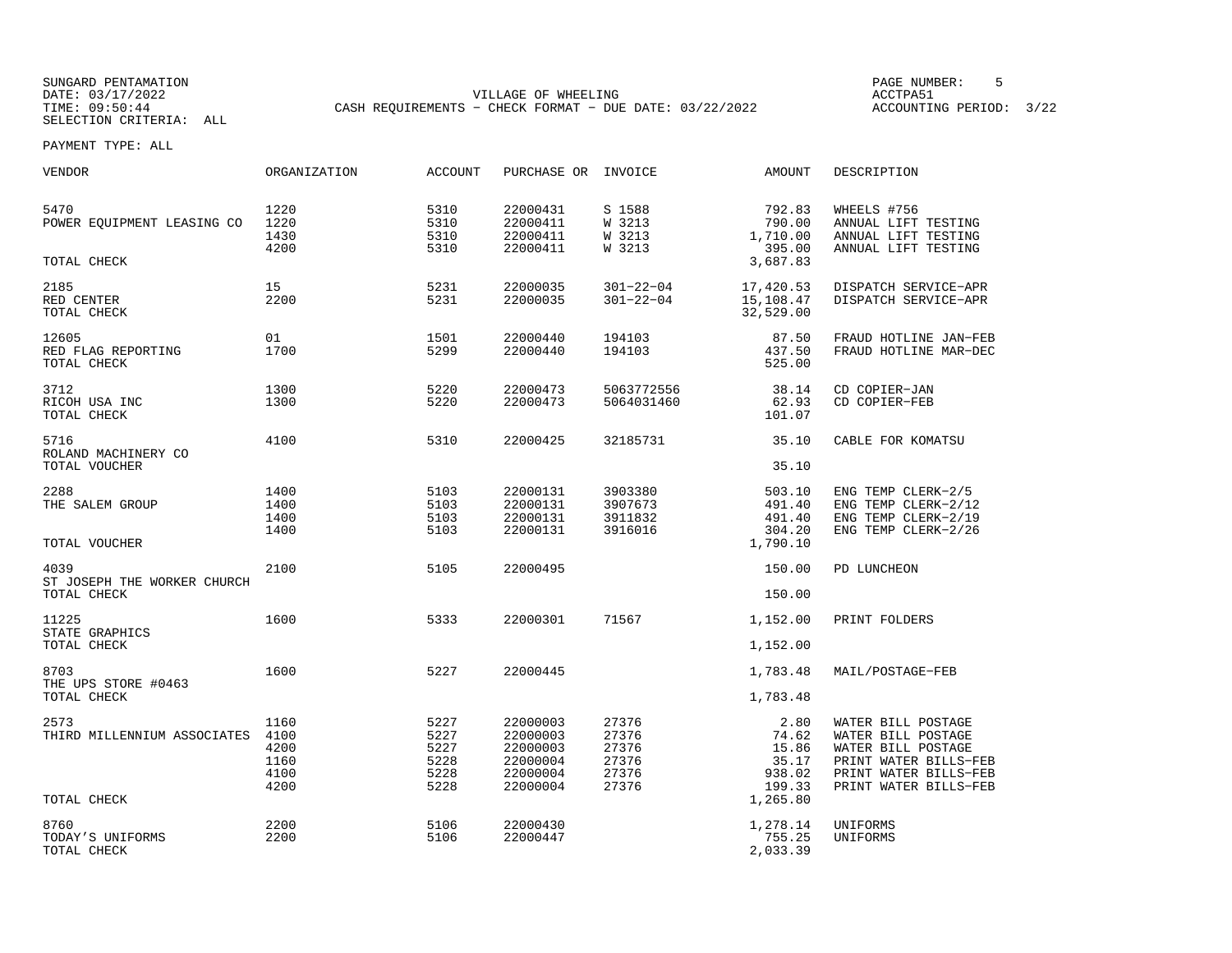SUNGARD PENTAMATION PAGE NUMBER: 5SELECTION CRITERIA: ALL

DATE: 03/17/2022 VILLAGE OF WHEELING ACCTPA51TIME: 09:50:44 CASH REQUIREMENTS − CHECK FORMAT − DUE DATE: 03/22/2022 ACCOUNTING PERIOD: 3/22

| <b>VENDOR</b>                                      | <b>ORGANIZATION</b>                          | <b>ACCOUNT</b>                               | PURCHASE OR INVOICE                                                  |                                                    | <b>AMOUNT</b>                                                   | DESCRIPTION                                                                                                                               |
|----------------------------------------------------|----------------------------------------------|----------------------------------------------|----------------------------------------------------------------------|----------------------------------------------------|-----------------------------------------------------------------|-------------------------------------------------------------------------------------------------------------------------------------------|
| 5470<br>POWER EQUIPMENT LEASING CO<br>TOTAL CHECK  | 1220<br>1220<br>1430<br>4200                 | 5310<br>5310<br>5310<br>5310                 | 22000431<br>22000411<br>22000411<br>22000411                         | S 1588<br>W 3213<br>W 3213<br>W 3213               | 792.83<br>790.00<br>1,710.00<br>395.00<br>3,687.83              | WHEELS #756<br>ANNUAL LIFT TESTING<br>ANNUAL LIFT TESTING<br>ANNUAL LIFT TESTING                                                          |
| 2185<br>RED CENTER<br>TOTAL CHECK                  | 15<br>2200                                   | 5231<br>5231                                 | 22000035<br>22000035                                                 | $301 - 22 - 04$<br>$301 - 22 - 04$                 | 17,420.53<br>15,108.47<br>32,529.00                             | DISPATCH SERVICE-APR<br>DISPATCH SERVICE-APR                                                                                              |
| 12605<br>RED FLAG REPORTING<br>TOTAL CHECK         | 01<br>1700                                   | 1501<br>5299                                 | 22000440<br>22000440                                                 | 194103<br>194103                                   | 87.50<br>437.50<br>525.00                                       | FRAUD HOTLINE JAN-FEB<br>FRAUD HOTLINE MAR-DEC                                                                                            |
| 3712<br>RICOH USA INC<br>TOTAL CHECK               | 1300<br>1300                                 | 5220<br>5220                                 | 22000473<br>22000473                                                 | 5063772556<br>5064031460                           | 38.14<br>62.93<br>101.07                                        | CD COPIER-JAN<br>CD COPIER-FEB                                                                                                            |
| 5716<br>ROLAND MACHINERY CO                        | 4100                                         | 5310                                         | 22000425                                                             | 32185731                                           | 35.10                                                           | CABLE FOR KOMATSU                                                                                                                         |
| TOTAL VOUCHER                                      |                                              |                                              |                                                                      |                                                    | 35.10                                                           |                                                                                                                                           |
| 2288<br>THE SALEM GROUP<br>TOTAL VOUCHER           | 1400<br>1400<br>1400<br>1400                 | 5103<br>5103<br>5103<br>5103                 | 22000131<br>22000131<br>22000131<br>22000131                         | 3903380<br>3907673<br>3911832<br>3916016           | 503.10<br>491.40<br>491.40<br>304.20<br>1,790.10                | ENG TEMP CLERK-2/5<br>ENG TEMP CLERK-2/12<br>ENG TEMP CLERK-2/19<br>ENG TEMP CLERK-2/26                                                   |
| 4039<br>ST JOSEPH THE WORKER CHURCH<br>TOTAL CHECK | 2100                                         | 5105                                         | 22000495                                                             |                                                    | 150.00<br>150.00                                                | PD LUNCHEON                                                                                                                               |
|                                                    |                                              |                                              |                                                                      |                                                    |                                                                 |                                                                                                                                           |
| 11225<br>STATE GRAPHICS                            | 1600                                         | 5333                                         | 22000301                                                             | 71567                                              | 1,152.00                                                        | PRINT FOLDERS                                                                                                                             |
| TOTAL CHECK                                        |                                              |                                              |                                                                      |                                                    | 1,152.00                                                        |                                                                                                                                           |
| 8703                                               | 1600                                         | 5227                                         | 22000445                                                             |                                                    | 1,783.48                                                        | MAIL/POSTAGE-FEB                                                                                                                          |
| THE UPS STORE #0463<br>TOTAL CHECK                 |                                              |                                              |                                                                      |                                                    | 1,783.48                                                        |                                                                                                                                           |
| 2573<br>THIRD MILLENNIUM ASSOCIATES<br>TOTAL CHECK | 1160<br>4100<br>4200<br>1160<br>4100<br>4200 | 5227<br>5227<br>5227<br>5228<br>5228<br>5228 | 22000003<br>22000003<br>22000003<br>22000004<br>22000004<br>22000004 | 27376<br>27376<br>27376<br>27376<br>27376<br>27376 | 2.80<br>74.62<br>15.86<br>35.17<br>938.02<br>199.33<br>1,265.80 | WATER BILL POSTAGE<br>WATER BILL POSTAGE<br>WATER BILL POSTAGE<br>PRINT WATER BILLS-FEB<br>PRINT WATER BILLS-FEB<br>PRINT WATER BILLS-FEB |
|                                                    |                                              |                                              |                                                                      |                                                    |                                                                 |                                                                                                                                           |
| 8760<br>TODAY'S UNIFORMS<br>TOTAL CHECK            | 2200<br>2200                                 | 5106<br>5106                                 | 22000430<br>22000447                                                 |                                                    | 1,278.14<br>755.25<br>2,033.39                                  | UNIFORMS<br>UNIFORMS                                                                                                                      |